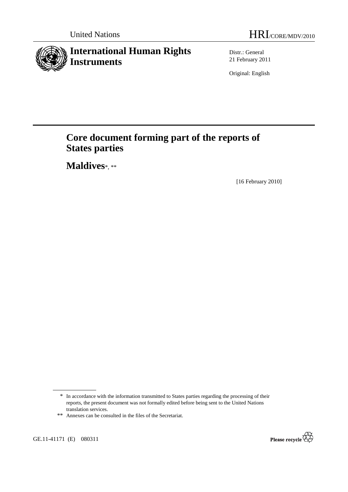# **International Human Rights Instruments**

Distr.: General 21 February 2011

Original: English

# **Core document forming part of the reports of States parties**

 **Maldives**\*, \*\*

[16 February 2010]

GE.11-41171 (E) 080311



<sup>\*</sup> In accordance with the information transmitted to States parties regarding the processing of their reports, the present document was not formally edited before being sent to the United Nations translation services.

<sup>\*\*</sup> Annexes can be consulted in the files of the Secretariat.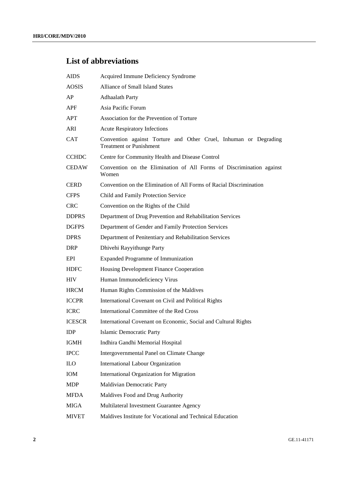## **List of abbreviations**

| <b>AIDS</b>   | Acquired Immune Deficiency Syndrome                                                                |
|---------------|----------------------------------------------------------------------------------------------------|
| <b>AOSIS</b>  | <b>Alliance of Small Island States</b>                                                             |
| AP            | <b>Adhaalath Party</b>                                                                             |
| <b>APF</b>    | Asia Pacific Forum                                                                                 |
| APT           | Association for the Prevention of Torture                                                          |
| ARI           | <b>Acute Respiratory Infections</b>                                                                |
| <b>CAT</b>    | Convention against Torture and Other Cruel, Inhuman or Degrading<br><b>Treatment or Punishment</b> |
| <b>CCHDC</b>  | Centre for Community Health and Disease Control                                                    |
| <b>CEDAW</b>  | Convention on the Elimination of All Forms of Discrimination against<br>Women                      |
| <b>CERD</b>   | Convention on the Elimination of All Forms of Racial Discrimination                                |
| <b>CFPS</b>   | Child and Family Protection Service                                                                |
| <b>CRC</b>    | Convention on the Rights of the Child                                                              |
| <b>DDPRS</b>  | Department of Drug Prevention and Rehabilitation Services                                          |
| <b>DGFPS</b>  | Department of Gender and Family Protection Services                                                |
| <b>DPRS</b>   | Department of Penitentiary and Rehabilitation Services                                             |
| <b>DRP</b>    | Dhivehi Rayyithunge Party                                                                          |
| EPI           | Expanded Programme of Immunization                                                                 |
| <b>HDFC</b>   | Housing Development Finance Cooperation                                                            |
| <b>HIV</b>    | Human Immunodeficiency Virus                                                                       |
| <b>HRCM</b>   | Human Rights Commission of the Maldives                                                            |
| <b>ICCPR</b>  | International Covenant on Civil and Political Rights                                               |
| <b>ICRC</b>   | International Committee of the Red Cross                                                           |
| <b>ICESCR</b> | International Covenant on Economic, Social and Cultural Rights                                     |
| <b>IDP</b>    | <b>Islamic Democratic Party</b>                                                                    |
| <b>IGMH</b>   | Indhira Gandhi Memorial Hospital                                                                   |
| <b>IPCC</b>   | Intergovernmental Panel on Climate Change                                                          |
| <b>ILO</b>    | International Labour Organization                                                                  |
| IOM           | International Organization for Migration                                                           |
| <b>MDP</b>    | Maldivian Democratic Party                                                                         |
| <b>MFDA</b>   | Maldives Food and Drug Authority                                                                   |
| <b>MIGA</b>   | Multilateral Investment Guarantee Agency                                                           |
| <b>MIVET</b>  | Maldives Institute for Vocational and Technical Education                                          |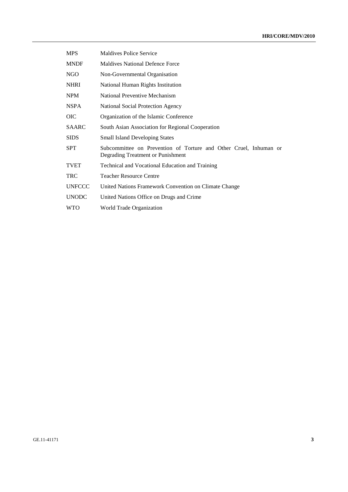| <b>MPS</b>    | <b>Maldives Police Service</b>                                                                         |
|---------------|--------------------------------------------------------------------------------------------------------|
| <b>MNDF</b>   | <b>Maldives National Defence Force</b>                                                                 |
| <b>NGO</b>    | Non-Governmental Organisation                                                                          |
| <b>NHRI</b>   | National Human Rights Institution                                                                      |
| <b>NPM</b>    | National Preventive Mechanism                                                                          |
| <b>NSPA</b>   | <b>National Social Protection Agency</b>                                                               |
| <b>OIC</b>    | Organization of the Islamic Conference                                                                 |
| <b>SAARC</b>  | South Asian Association for Regional Cooperation                                                       |
| <b>SIDS</b>   | <b>Small Island Developing States</b>                                                                  |
| <b>SPT</b>    | Subcommittee on Prevention of Torture and Other Cruel, Inhuman or<br>Degrading Treatment or Punishment |
| <b>TVET</b>   | Technical and Vocational Education and Training                                                        |
| <b>TRC</b>    | <b>Teacher Resource Centre</b>                                                                         |
| <b>UNFCCC</b> | United Nations Framework Convention on Climate Change                                                  |
| <b>UNODC</b>  | United Nations Office on Drugs and Crime                                                               |
| <b>WTO</b>    | World Trade Organization                                                                               |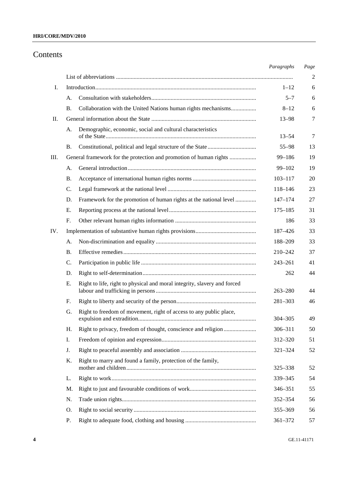## **HRI/CORE/MDV/2010**

## Contents

|     |                                                                                | Paragraphs                                                                                                                                                                                                                                                                                         | Page           |
|-----|--------------------------------------------------------------------------------|----------------------------------------------------------------------------------------------------------------------------------------------------------------------------------------------------------------------------------------------------------------------------------------------------|----------------|
|     |                                                                                |                                                                                                                                                                                                                                                                                                    | $\overline{c}$ |
| Ι.  |                                                                                | $1 - 12$                                                                                                                                                                                                                                                                                           | 6              |
|     | А.                                                                             | $5 - 7$                                                                                                                                                                                                                                                                                            | 6              |
|     | <b>B.</b><br>Collaboration with the United Nations human rights mechanisms     | $8 - 12$                                                                                                                                                                                                                                                                                           | 6              |
| П.  |                                                                                | $13 - 98$                                                                                                                                                                                                                                                                                          | 7              |
|     | Demographic, economic, social and cultural characteristics<br>A.               | $13 - 54$                                                                                                                                                                                                                                                                                          | 7              |
|     | В.                                                                             | $55 - 98$                                                                                                                                                                                                                                                                                          | 13             |
| Ш.  | General framework for the protection and promotion of human rights             | $99 - 186$                                                                                                                                                                                                                                                                                         | 19             |
|     | А.                                                                             | $99 - 102$                                                                                                                                                                                                                                                                                         | 19             |
|     | Β.                                                                             | $103 - 117$                                                                                                                                                                                                                                                                                        | 20             |
|     | C.                                                                             | 118-146                                                                                                                                                                                                                                                                                            | 23             |
|     | Framework for the promotion of human rights at the national level<br>D.        | $147 - 174$                                                                                                                                                                                                                                                                                        | 27             |
|     | Е.                                                                             | $175 - 185$                                                                                                                                                                                                                                                                                        | 31             |
|     | F.                                                                             | 186                                                                                                                                                                                                                                                                                                | 33             |
| IV. |                                                                                | 187-426                                                                                                                                                                                                                                                                                            | 33             |
|     | А.                                                                             | 188-209<br>33<br>37<br>210-242<br>41<br>$243 - 261$<br>44<br>262<br>$263 - 280$<br>44<br>46<br>$281 - 303$<br>$304 - 305$<br>49<br>306-311<br>50<br>312-320<br>51<br>52<br>$321 - 324$<br>325-338<br>52<br>54<br>339 - 345<br>346–351<br>55<br>56<br>$352 - 354$<br>355-369<br>56<br>361-372<br>57 |                |
|     | В.                                                                             |                                                                                                                                                                                                                                                                                                    |                |
|     | C.                                                                             |                                                                                                                                                                                                                                                                                                    |                |
|     | D.                                                                             |                                                                                                                                                                                                                                                                                                    |                |
|     | Right to life, right to physical and moral integrity, slavery and forced<br>Е. |                                                                                                                                                                                                                                                                                                    |                |
|     | F.                                                                             |                                                                                                                                                                                                                                                                                                    |                |
|     | Right to freedom of movement, right of access to any public place,<br>G.       |                                                                                                                                                                                                                                                                                                    |                |
|     | Right to privacy, freedom of thought, conscience and religion<br>Н.            |                                                                                                                                                                                                                                                                                                    |                |
|     | Ι.                                                                             |                                                                                                                                                                                                                                                                                                    |                |
|     | J.                                                                             |                                                                                                                                                                                                                                                                                                    |                |
|     | Right to marry and found a family, protection of the family,<br>Κ.             |                                                                                                                                                                                                                                                                                                    |                |
|     | L.                                                                             |                                                                                                                                                                                                                                                                                                    |                |
|     | M.                                                                             |                                                                                                                                                                                                                                                                                                    |                |
|     | N.                                                                             |                                                                                                                                                                                                                                                                                                    |                |
|     | O.                                                                             |                                                                                                                                                                                                                                                                                                    |                |
|     | Р.                                                                             |                                                                                                                                                                                                                                                                                                    |                |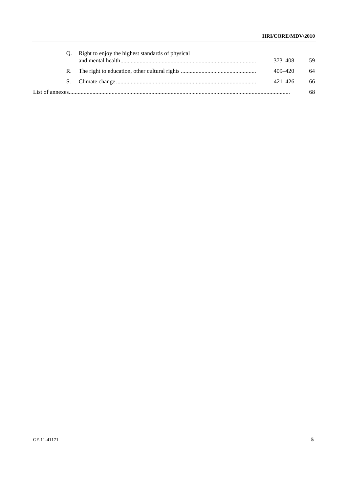| Q. Right to enjoy the highest standards of physical | 373–408     | 59 |
|-----------------------------------------------------|-------------|----|
|                                                     | 409-420     | 64 |
|                                                     | $421 - 426$ | 66 |
|                                                     |             | 68 |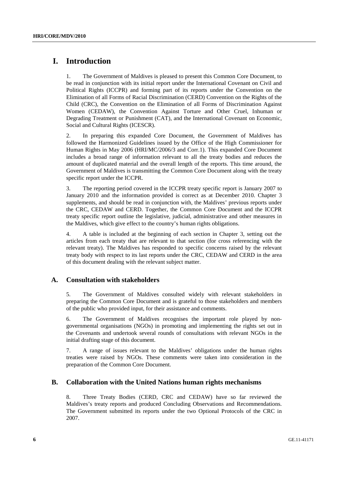## **I. Introduction**

1. The Government of Maldives is pleased to present this Common Core Document, to be read in conjunction with its initial report under the International Covenant on Civil and Political Rights (ICCPR) and forming part of its reports under the Convention on the Elimination of all Forms of Racial Discrimination (CERD) Convention on the Rights of the Child (CRC), the Convention on the Elimination of all Forms of Discrimination Against Women (CEDAW), the Convention Against Torture and Other Cruel, Inhuman or Degrading Treatment or Punishment (CAT), and the International Covenant on Economic, Social and Cultural Rights (ICESCR).

2. In preparing this expanded Core Document, the Government of Maldives has followed the Harmonized Guidelines issued by the Office of the High Commissioner for Human Rights in May 2006 (HRI/MC/2006/3 and Corr.1). This expanded Core Document includes a broad range of information relevant to all the treaty bodies and reduces the amount of duplicated material and the overall length of the reports. This time around, the Government of Maldives is transmitting the Common Core Document along with the treaty specific report under the ICCPR.

3. The reporting period covered in the ICCPR treaty specific report is January 2007 to January 2010 and the information provided is correct as at December 2010. Chapter 3 supplements, and should be read in conjunction with, the Maldives' previous reports under the CRC, CEDAW and CERD. Together, the Common Core Document and the ICCPR treaty specific report outline the legislative, judicial, administrative and other measures in the Maldives, which give effect to the country's human rights obligations.

4. A table is included at the beginning of each section in Chapter 3, setting out the articles from each treaty that are relevant to that section (for cross referencing with the relevant treaty). The Maldives has responded to specific concerns raised by the relevant treaty body with respect to its last reports under the CRC, CEDAW and CERD in the area of this document dealing with the relevant subject matter.

## **A. Consultation with stakeholders**

5. The Government of Maldives consulted widely with relevant stakeholders in preparing the Common Core Document and is grateful to those stakeholders and members of the public who provided input, for their assistance and comments.

6. The Government of Maldives recognises the important role played by nongovernmental organisations (NGOs) in promoting and implementing the rights set out in the Covenants and undertook several rounds of consultations with relevant NGOs in the initial drafting stage of this document.

7. A range of issues relevant to the Maldives' obligations under the human rights treaties were raised by NGOs. These comments were taken into consideration in the preparation of the Common Core Document.

## **B. Collaboration with the United Nations human rights mechanisms**

8. Three Treaty Bodies (CERD, CRC and CEDAW) have so far reviewed the Maldives's treaty reports and produced Concluding Observations and Recommendations. The Government submitted its reports under the two Optional Protocols of the CRC in 2007.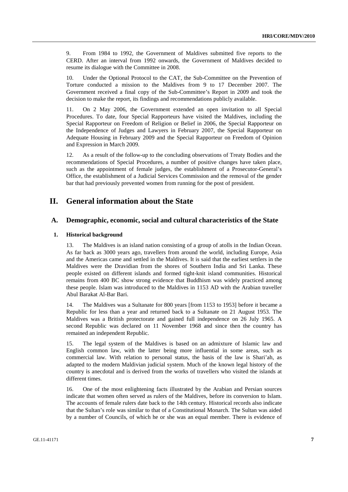9. From 1984 to 1992, the Government of Maldives submitted five reports to the CERD. After an interval from 1992 onwards, the Government of Maldives decided to resume its dialogue with the Committee in 2008.

10. Under the Optional Protocol to the CAT, the Sub-Committee on the Prevention of Torture conducted a mission to the Maldives from 9 to 17 December 2007. The Government received a final copy of the Sub-Committee's Report in 2009 and took the decision to make the report, its findings and recommendations publicly available.

11. On 2 May 2006, the Government extended an open invitation to all Special Procedures. To date, four Special Rapporteurs have visited the Maldives, including the Special Rapporteur on Freedom of Religion or Belief in 2006, the Special Rapporteur on the Independence of Judges and Lawyers in February 2007, the Special Rapporteur on Adequate Housing in February 2009 and the Special Rapporteur on Freedom of Opinion and Expression in March 2009.

12. As a result of the follow-up to the concluding observations of Treaty Bodies and the recommendations of Special Procedures, a number of positive changes have taken place, such as the appointment of female judges, the establishment of a Prosecutor-General's Office, the establishment of a Judicial Services Commission and the removal of the gender bar that had previously prevented women from running for the post of president.

## **II. General information about the State**

## **A. Demographic, economic, social and cultural characteristics of the State**

#### **1. Historical background**

13. The Maldives is an island nation consisting of a group of atolls in the Indian Ocean. As far back as 3000 years ago, travellers from around the world, including Europe, Asia and the Americas came and settled in the Maldives. It is said that the earliest settlers in the Maldives were the Dravidian from the shores of Southern India and Sri Lanka. These people existed on different islands and formed tight-knit island communities. Historical remains from 400 BC show strong evidence that Buddhism was widely practiced among these people. Islam was introduced to the Maldives in 1153 AD with the Arabian traveller Abul Barakat Al-Bar Bari.

14. The Maldives was a Sultanate for 800 years [from 1153 to 1953] before it became a Republic for less than a year and returned back to a Sultanate on 21 August 1953. The Maldives was a British protectorate and gained full independence on 26 July 1965. A second Republic was declared on 11 November 1968 and since then the country has remained an independent Republic.

15. The legal system of the Maldives is based on an admixture of Islamic law and English common law, with the latter being more influential in some areas, such as commercial law. With relation to personal status, the basis of the law is Shari'ah, as adapted to the modern Maldivian judicial system. Much of the known legal history of the country is anecdotal and is derived from the works of travellers who visited the islands at different times.

16. One of the most enlightening facts illustrated by the Arabian and Persian sources indicate that women often served as rulers of the Maldives, before its conversion to Islam. The accounts of female rulers date back to the 14th century. Historical records also indicate that the Sultan's role was similar to that of a Constitutional Monarch. The Sultan was aided by a number of Councils, of which he or she was an equal member. There is evidence of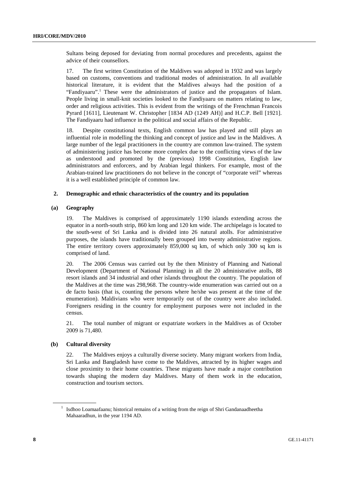Sultans being deposed for deviating from normal procedures and precedents, against the advice of their counsellors.

17. The first written Constitution of the Maldives was adopted in 1932 and was largely based on customs, conventions and traditional modes of administration. In all available historical literature, it is evident that the Maldives always had the position of a "Fandiyaaru".<sup>1</sup> These were the administrators of justice and the propagators of Islam. People living in small-knit societies looked to the Fandiyaaru on matters relating to law, order and religious activities. This is evident from the writings of the Frenchman Francois Pyrard [1611], Lieutenant W. Christopher [1834 AD (1249 AH)] and H.C.P. Bell [1921]. The Fandiyaaru had influence in the political and social affairs of the Republic.

18. Despite constitutional texts, English common law has played and still plays an influential role in modelling the thinking and concept of justice and law in the Maldives. A large number of the legal practitioners in the country are common law-trained. The system of administering justice has become more complex due to the conflicting views of the law as understood and promoted by the (previous) 1998 Constitution, English law administrators and enforcers, and by Arabian legal thinkers. For example, most of the Arabian-trained law practitioners do not believe in the concept of "corporate veil" whereas it is a well established principle of common law.

#### **2. Demographic and ethnic characteristics of the country and its population**

#### **(a) Geography**

19. The Maldives is comprised of approximately 1190 islands extending across the equator in a north-south strip, 860 km long and 120 km wide. The archipelago is located to the south-west of Sri Lanka and is divided into 26 natural atolls. For administrative purposes, the islands have traditionally been grouped into twenty administrative regions. The entire territory covers approximately 859,000 sq km, of which only 300 sq km is comprised of land.

20. The 2006 Census was carried out by the then Ministry of Planning and National Development (Department of National Planning) in all the 20 administrative atolls, 88 resort islands and 34 industrial and other islands throughout the country. The population of the Maldives at the time was 298,968. The country-wide enumeration was carried out on a de facto basis (that is, counting the persons where he/she was present at the time of the enumeration). Maldivians who were temporarily out of the country were also included. Foreigners residing in the country for employment purposes were not included in the census.

21. The total number of migrant or expatriate workers in the Maldives as of October 2009 is 71,480.

#### **(b) Cultural diversity**

22. The Maldives enjoys a culturally diverse society. Many migrant workers from India, Sri Lanka and Bangladesh have come to the Maldives, attracted by its higher wages and close proximity to their home countries. These migrants have made a major contribution towards shaping the modern day Maldives. Many of them work in the education, construction and tourism sectors.

<sup>&</sup>lt;sup>1</sup> Isdhoo Loamaafaanu; historical remains of a writing from the reign of Shri Gandanaadheetha Mahaaradhun, in the year 1194 AD.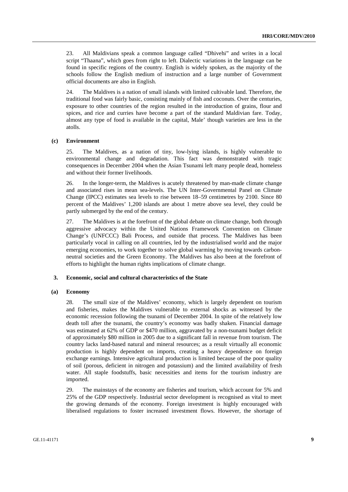23. All Maldivians speak a common language called "Dhivehi" and writes in a local script "Thaana", which goes from right to left. Dialectic variations in the language can be found in specific regions of the country. English is widely spoken, as the majority of the schools follow the English medium of instruction and a large number of Government official documents are also in English.

24. The Maldives is a nation of small islands with limited cultivable land. Therefore, the traditional food was fairly basic, consisting mainly of fish and coconuts. Over the centuries, exposure to other countries of the region resulted in the introduction of grains, flour and spices, and rice and curries have become a part of the standard Maldivian fare. Today, almost any type of food is available in the capital, Male' though varieties are less in the atolls.

#### **(c) Environment**

25. The Maldives, as a nation of tiny, low-lying islands, is highly vulnerable to environmental change and degradation. This fact was demonstrated with tragic consequences in December 2004 when the Asian Tsunami left many people dead, homeless and without their former livelihoods.

26. In the longer-term, the Maldives is acutely threatened by man-made climate change and associated rises in mean sea-levels. The UN Inter-Governmental Panel on Climate Change (IPCC) estimates sea levels to rise between 18–59 centimetres by 2100. Since 80 percent of the Maldives' 1,200 islands are about 1 metre above sea level, they could be partly submerged by the end of the century.

The Maldives is at the forefront of the global debate on climate change, both through aggressive advocacy within the United Nations Framework Convention on Climate Change's (UNFCCC) Bali Process, and outside that process. The Maldives has been particularly vocal in calling on all countries, led by the industrialised world and the major emerging economies, to work together to solve global warming by moving towards carbonneutral societies and the Green Economy. The Maldives has also been at the forefront of efforts to highlight the human rights implications of climate change.

#### **3. Economic, social and cultural characteristics of the State**

#### **(a) Economy**

28. The small size of the Maldives' economy, which is largely dependent on tourism and fisheries, makes the Maldives vulnerable to external shocks as witnessed by the economic recession following the tsunami of December 2004. In spite of the relatively low death toll after the tsunami, the country's economy was badly shaken. Financial damage was estimated at 62% of GDP or \$470 million, aggravated by a non-tsunami budget deficit of approximately \$80 million in 2005 due to a significant fall in revenue from tourism. The country lacks land-based natural and mineral resources; as a result virtually all economic production is highly dependent on imports, creating a heavy dependence on foreign exchange earnings. Intensive agricultural production is limited because of the poor quality of soil (porous, deficient in nitrogen and potassium) and the limited availability of fresh water. All staple foodstuffs, basic necessities and items for the tourism industry are imported.

29. The mainstays of the economy are fisheries and tourism, which account for 5% and 25% of the GDP respectively. Industrial sector development is recognised as vital to meet the growing demands of the economy. Foreign investment is highly encouraged with liberalised regulations to foster increased investment flows. However, the shortage of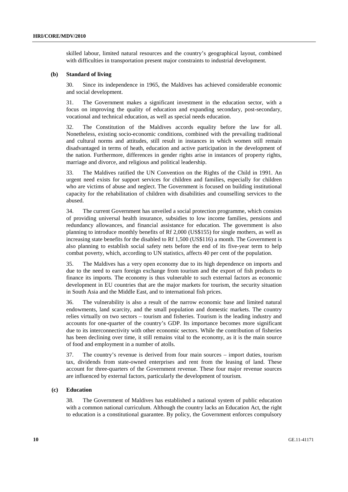skilled labour, limited natural resources and the country's geographical layout, combined with difficulties in transportation present major constraints to industrial development.

#### **(b) Standard of living**

30. Since its independence in 1965, the Maldives has achieved considerable economic and social development.

31. The Government makes a significant investment in the education sector, with a focus on improving the quality of education and expanding secondary, post-secondary, vocational and technical education, as well as special needs education.

32. The Constitution of the Maldives accords equality before the law for all. Nonetheless, existing socio-economic conditions, combined with the prevailing traditional and cultural norms and attitudes, still result in instances in which women still remain disadvantaged in terms of heath, education and active participation in the development of the nation. Furthermore, differences in gender rights arise in instances of property rights, marriage and divorce, and religious and political leadership.

33. The Maldives ratified the UN Convention on the Rights of the Child in 1991. An urgent need exists for support services for children and families, especially for children who are victims of abuse and neglect. The Government is focused on building institutional capacity for the rehabilitation of children with disabilities and counselling services to the abused.

34. The current Government has unveiled a social protection programme, which consists of providing universal health insurance, subsidies to low income families, pensions and redundancy allowances, and financial assistance for education. The government is also planning to introduce monthly benefits of Rf 2,000 (US\$155) for single mothers, as well as increasing state benefits for the disabled to Rf 1,500 (US\$116) a month. The Government is also planning to establish social safety nets before the end of its five-year term to help combat poverty, which, according to UN statistics, affects 40 per cent of the population.

35. The Maldives has a very open economy due to its high dependence on imports and due to the need to earn foreign exchange from tourism and the export of fish products to finance its imports. The economy is thus vulnerable to such external factors as economic development in EU countries that are the major markets for tourism, the security situation in South Asia and the Middle East, and to international fish prices.

36. The vulnerability is also a result of the narrow economic base and limited natural endowments, land scarcity, and the small population and domestic markets. The country relies virtually on two sectors – tourism and fisheries. Tourism is the leading industry and accounts for one-quarter of the country's GDP. Its importance becomes more significant due to its interconnectivity with other economic sectors. While the contribution of fisheries has been declining over time, it still remains vital to the economy, as it is the main source of food and employment in a number of atolls.

37. The country's revenue is derived from four main sources – import duties, tourism tax, dividends from state-owned enterprises and rent from the leasing of land. These account for three-quarters of the Government revenue. These four major revenue sources are influenced by external factors, particularly the development of tourism.

#### **(c) Education**

38. The Government of Maldives has established a national system of public education with a common national curriculum. Although the country lacks an Education Act, the right to education is a constitutional guarantee. By policy, the Government enforces compulsory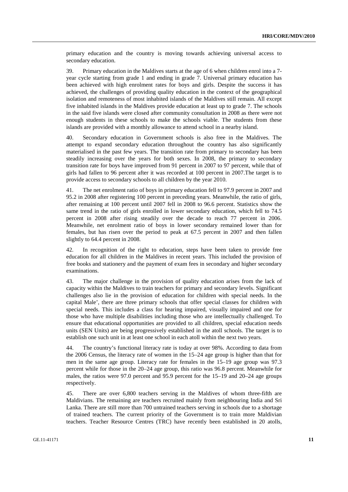primary education and the country is moving towards achieving universal access to secondary education.

39. Primary education in the Maldives starts at the age of 6 when children enrol into a 7 year cycle starting from grade 1 and ending in grade 7. Universal primary education has been achieved with high enrolment rates for boys and girls. Despite the success it has achieved, the challenges of providing quality education in the context of the geographical isolation and remoteness of most inhabited islands of the Maldives still remain. All except five inhabited islands in the Maldives provide education at least up to grade 7. The schools in the said five islands were closed after community consultation in 2008 as there were not enough students in these schools to make the schools viable. The students from these islands are provided with a monthly allowance to attend school in a nearby island.

40. Secondary education in Government schools is also free in the Maldives. The attempt to expand secondary education throughout the country has also significantly materialised in the past few years. The transition rate from primary to secondary has been steadily increasing over the years for both sexes. In 2008, the primary to secondary transition rate for boys have improved from 91 percent in 2007 to 97 percent, while that of girls had fallen to 96 percent after it was recorded at 100 percent in 2007.The target is to provide access to secondary schools to all children by the year 2010.

41. The net enrolment ratio of boys in primary education fell to 97.9 percent in 2007 and 95.2 in 2008 after registering 100 percent in preceding years. Meanwhile, the ratio of girls, after remaining at 100 percent until 2007 fell in 2008 to 96.6 percent. Statistics show the same trend in the ratio of girls enrolled in lower secondary education, which fell to 74.5 percent in 2008 after rising steadily over the decade to reach 77 percent in 2006. Meanwhile, net enrolment ratio of boys in lower secondary remained lower than for females, but has risen over the period to peak at 67.5 percent in 2007 and then fallen slightly to 64.4 percent in 2008.

42. In recognition of the right to education, steps have been taken to provide free education for all children in the Maldives in recent years. This included the provision of free books and stationery and the payment of exam fees in secondary and higher secondary examinations.

43. The major challenge in the provision of quality education arises from the lack of capacity within the Maldives to train teachers for primary and secondary levels. Significant challenges also lie in the provision of education for children with special needs. In the capital Male', there are three primary schools that offer special classes for children with special needs. This includes a class for hearing impaired, visually impaired and one for those who have multiple disabilities including those who are intellectually challenged. To ensure that educational opportunities are provided to all children, special education needs units (SEN Units) are being progressively established in the atoll schools. The target is to establish one such unit in at least one school in each atoll within the next two years.

44. The country's functional literacy rate is today at over 98%. According to data from the 2006 Census, the literacy rate of women in the 15–24 age group is higher than that for men in the same age group. Literacy rate for females in the 15–19 age group was 97.3 percent while for those in the 20–24 age group, this ratio was 96.8 percent. Meanwhile for males, the ratios were 97.0 percent and 95.9 percent for the 15–19 and 20–24 age groups respectively.

45. There are over 6,800 teachers serving in the Maldives of whom three-fifth are Maldivians. The remaining are teachers recruited mainly from neighbouring India and Sri Lanka. There are still more than 700 untrained teachers serving in schools due to a shortage of trained teachers. The current priority of the Government is to train more Maldivian teachers. Teacher Resource Centres (TRC) have recently been established in 20 atolls,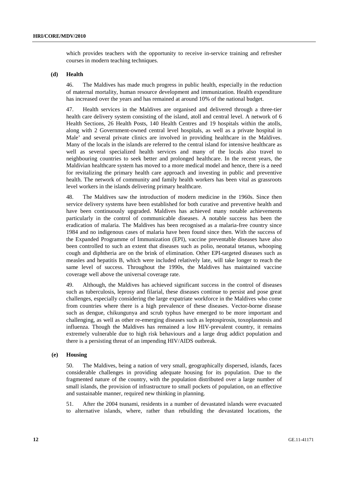which provides teachers with the opportunity to receive in-service training and refresher courses in modern teaching techniques.

### **(d) Health**

46. The Maldives has made much progress in public health, especially in the reduction of maternal mortality, human resource development and immunization. Health expenditure has increased over the years and has remained at around 10% of the national budget.

47. Health services in the Maldives are organised and delivered through a three-tier health care delivery system consisting of the island, atoll and central level. A network of 6 Health Sections, 26 Health Posts, 140 Health Centres and 19 hospitals within the atolls, along with 2 Government-owned central level hospitals, as well as a private hospital in Male' and several private clinics are involved in providing healthcare in the Maldives. Many of the locals in the islands are referred to the central island for intensive healthcare as well as several specialized health services and many of the locals also travel to neighbouring countries to seek better and prolonged healthcare. In the recent years, the Maldivian healthcare system has moved to a more medical model and hence, there is a need for revitalizing the primary health care approach and investing in public and preventive health. The network of community and family health workers has been vital as grassroots level workers in the islands delivering primary healthcare.

48. The Maldives saw the introduction of modern medicine in the 1960s. Since then service delivery systems have been established for both curative and preventive health and have been continuously upgraded. Maldives has achieved many notable achievements particularly in the control of communicable diseases. A notable success has been the eradication of malaria. The Maldives has been recognised as a malaria-free country since 1984 and no indigenous cases of malaria have been found since then. With the success of the Expanded Programme of Immunization (EPI), vaccine preventable diseases have also been controlled to such an extent that diseases such as polio, neonatal tetanus, whooping cough and diphtheria are on the brink of elimination. Other EPI-targeted diseases such as measles and hepatitis B, which were included relatively late, will take longer to reach the same level of success. Throughout the 1990s, the Maldives has maintained vaccine coverage well above the universal coverage rate.

49. Although, the Maldives has achieved significant success in the control of diseases such as tuberculosis, leprosy and filarial, these diseases continue to persist and pose great challenges, especially considering the large expatriate workforce in the Maldives who come from countries where there is a high prevalence of these diseases. Vector-borne disease such as dengue, chikungunya and scrub typhus have emerged to be more important and challenging, as well as other re-emerging diseases such as leptospirosis, toxoplasmosis and influenza. Though the Maldives has remained a low HIV-prevalent country, it remains extremely vulnerable due to high risk behaviours and a large drug addict population and there is a persisting threat of an impending HIV/AIDS outbreak.

#### **(e) Housing**

50. The Maldives, being a nation of very small, geographically dispersed, islands, faces considerable challenges in providing adequate housing for its population. Due to the fragmented nature of the country, with the population distributed over a large number of small islands, the provision of infrastructure to small pockets of population, on an effective and sustainable manner, required new thinking in planning.

51. After the 2004 tsunami, residents in a number of devastated islands were evacuated to alternative islands, where, rather than rebuilding the devastated locations, the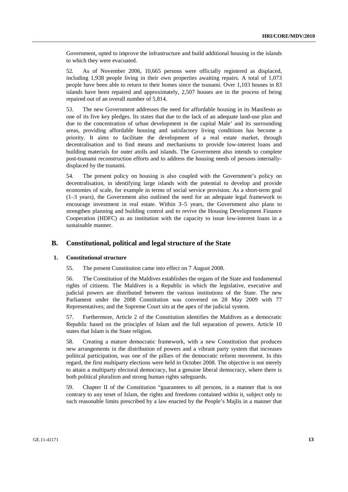Government, opted to improve the infrastructure and build additional housing in the islands to which they were evacuated.

52. As of November 2006, 10,665 persons were officially registered as displaced, including 1,938 people living in their own properties awaiting repairs. A total of 1,073 people have been able to return to their homes since the tsunami. Over 1,103 houses in 83 islands have been repaired and approximately, 2,507 houses are in the process of being repaired out of an overall number of 5,814.

53. The new Government addresses the need for affordable housing in its Manifesto as one of its five key pledges. Its states that due to the lack of an adequate land-use plan and due to the concentration of urban development in the capital Male' and its surrounding areas, providing affordable housing and satisfactory living conditions has become a priority. It aims to facilitate the development of a real estate market, through decentralisation and to find means and mechanisms to provide low-interest loans and building materials for outer atolls and islands. The Government also intends to complete post-tsunami reconstruction efforts and to address the housing needs of persons internallydisplaced by the tsunami.

54. The present policy on housing is also coupled with the Government's policy on decentralisation, in identifying large islands with the potential to develop and provide economies of scale, for example in terms of social service provision. As a short-term goal (1–3 years), the Government also outlined the need for an adequate legal framework to encourage investment in real estate. Within 3–5 years, the Government also plans to strengthen planning and building control and to revive the Housing Development Finance Cooperation (HDFC) as an institution with the capacity to issue low-interest loans in a sustainable manner.

## **B. Constitutional, political and legal structure of the State**

#### **1. Constitutional structure**

55. The present Constitution came into effect on 7 August 2008.

56. The Constitution of the Maldives establishes the organs of the State and fundamental rights of citizens. The Maldives is a Republic in which the legislative, executive and judicial powers are distributed between the various institutions of the State. The new Parliament under the 2008 Constitution was convened on 28 May 2009 with 77 Representatives; and the Supreme Court sits at the apex of the judicial system.

57. Furthermore, Article 2 of the Constitution identifies the Maldives as a democratic Republic based on the principles of Islam and the full separation of powers. Article 10 states that Islam is the State religion.

58. Creating a mature democratic framework, with a new Constitution that produces new arrangements in the distribution of powers and a vibrant party system that increases political participation, was one of the pillars of the democratic reform movement. In this regard, the first multiparty elections were held in October 2008. The objective is not merely to attain a multiparty electoral democracy, but a genuine liberal democracy, where there is both political pluralism and strong human rights safeguards.

59. Chapter II of the Constitution "guarantees to all persons, in a manner that is not contrary to any tenet of Islam, the rights and freedoms contained within it, subject only to such reasonable limits prescribed by a law enacted by the People's Majlis in a manner that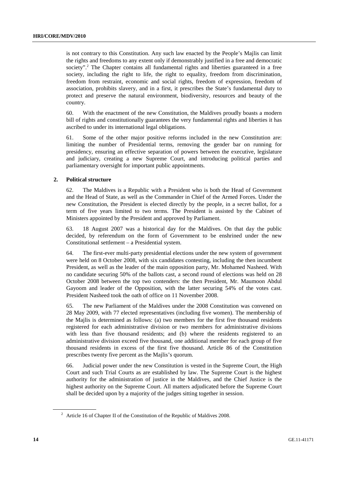is not contrary to this Constitution. Any such law enacted by the People's Majlis can limit the rights and freedoms to any extent only if demonstrably justified in a free and democratic society".<sup>2</sup> The Chapter contains all fundamental rights and liberties guaranteed in a free society, including the right to life, the right to equality, freedom from discrimination, freedom from restraint, economic and social rights, freedom of expression, freedom of association, prohibits slavery, and in a first, it prescribes the State's fundamental duty to protect and preserve the natural environment, biodiversity, resources and beauty of the country.

60. With the enactment of the new Constitution, the Maldives proudly boasts a modern bill of rights and constitutionally guarantees the very fundamental rights and liberties it has ascribed to under its international legal obligations.

61. Some of the other major positive reforms included in the new Constitution are: limiting the number of Presidential terms, removing the gender bar on running for presidency, ensuring an effective separation of powers between the executive, legislature and judiciary, creating a new Supreme Court, and introducing political parties and parliamentary oversight for important public appointments.

#### **2. Political structure**

62. The Maldives is a Republic with a President who is both the Head of Government and the Head of State, as well as the Commander in Chief of the Armed Forces. Under the new Constitution, the President is elected directly by the people, in a secret ballot, for a term of five years limited to two terms. The President is assisted by the Cabinet of Ministers appointed by the President and approved by Parliament.

63. 18 August 2007 was a historical day for the Maldives. On that day the public decided, by referendum on the form of Government to be enshrined under the new Constitutional settlement – a Presidential system.

64. The first-ever multi-party presidential elections under the new system of government were held on 8 October 2008, with six candidates contesting, including the then incumbent President, as well as the leader of the main opposition party, Mr. Mohamed Nasheed. With no candidate securing 50% of the ballots cast, a second round of elections was held on 28 October 2008 between the top two contenders: the then President, Mr. Maumoon Abdul Gayoom and leader of the Opposition, with the latter securing 54% of the votes cast. President Nasheed took the oath of office on 11 November 2008.

65. The new Parliament of the Maldives under the 2008 Constitution was convened on 28 May 2009, with 77 elected representatives (including five women). The membership of the Majlis is determined as follows: (a) two members for the first five thousand residents registered for each administrative division or two members for administrative divisions with less than five thousand residents; and (b) where the residents registered to an administrative division exceed five thousand, one additional member for each group of five thousand residents in excess of the first five thousand. Article 86 of the Constitution prescribes twenty five percent as the Majlis's quorum.

66. Judicial power under the new Constitution is vested in the Supreme Court, the High Court and such Trial Courts as are established by law. The Supreme Court is the highest authority for the administration of justice in the Maldives, and the Chief Justice is the highest authority on the Supreme Court. All matters adjudicated before the Supreme Court shall be decided upon by a majority of the judges sitting together in session.

<sup>&</sup>lt;sup>2</sup> Article 16 of Chapter II of the Constitution of the Republic of Maldives 2008.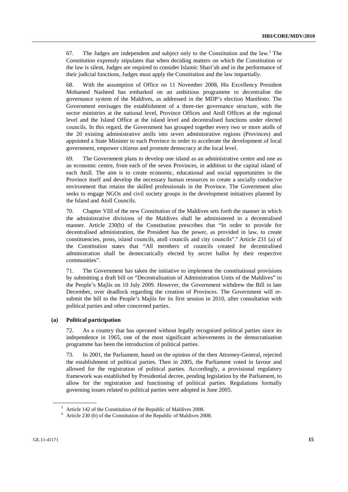67. The Judges are independent and subject only to the Constitution and the law.<sup>3</sup> The Constitution expressly stipulates that when deciding matters on which the Constitution or the law is silent, Judges are required to consider Islamic Shari'ah and in the performance of their judicial functions, Judges must apply the Constitution and the law impartially.

68. With the assumption of Office on 11 November 2008, His Excellency President Mohamed Nasheed has embarked on an ambitious programme to decentralise the governance system of the Maldives, as addressed in the MDP's election Manifesto. The Government envisages the establishment of a three-tier governance structure, with the sector ministries at the national level, Province Offices and Atoll Offices at the regional level and the Island Office at the island level and decentralised functions under elected councils. In this regard, the Government has grouped together every two or more atolls of the 20 existing administrative atolls into seven administrative regions (Provinces) and appointed a State Minister to each Province in order to accelerate the development of local government, empower citizens and promote democracy at the local level.

69. The Government plans to develop one island as an administrative centre and one as an economic centre, from each of the seven Provinces, in addition to the capital island of each Atoll. The aim is to create economic, educational and social opportunities in the Province itself and develop the necessary human resources to create a socially conducive environment that retains the skilled professionals in the Province. The Government also seeks to engage NGOs and civil society groups in the development initiatives planned by the Island and Atoll Councils.

70. Chapter VIII of the new Constitution of the Maldives sets forth the manner in which the administrative divisions of the Maldives shall be administered in a decentralised manner. Article 230(b) of the Constitution prescribes that "In order to provide for decentralised administration, the President has the power, as provided in law, to create constituencies, posts, island councils, atoll councils and city councils".<sup>4</sup> Article 231 (a) of the Constitution states that "All members of councils created for decentralised administration shall be democratically elected by secret ballot by their respective communities".

71. The Government has taken the initiative to implement the constitutional provisions by submitting a draft bill on "Decentralisation of Administration Units of the Maldives" to the People's Majlis on 10 July 2009. However, the Government withdrew the Bill in late December, over deadlock regarding the creation of Provinces. The Government will resubmit the bill to the People's Majlis for its first session in 2010, after consultation with political parties and other concerned parties.

## **(a) Political participation**

72. As a country that has operated without legally recognised political parties since its independence in 1965, one of the most significant achievements in the democratisation programme has been the introduction of political parties.

73. In 2001, the Parliament, based on the opinion of the then Attorney-General, rejected the establishment of political parties. Then in 2005, the Parliament voted in favour and allowed for the registration of political parties. Accordingly, a provisional regulatory framework was established by Presidential decree, pending legislation by the Parliament, to allow for the registration and functioning of political parties. Regulations formally governing issues related to political parties were adopted in June 2005.

<sup>&</sup>lt;sup>3</sup> Article 142 of the Constitution of the Republic of Maldives 2008.

<sup>&</sup>lt;sup>4</sup> Article 230 (b) of the Constitution of the Republic of Maldives 2008.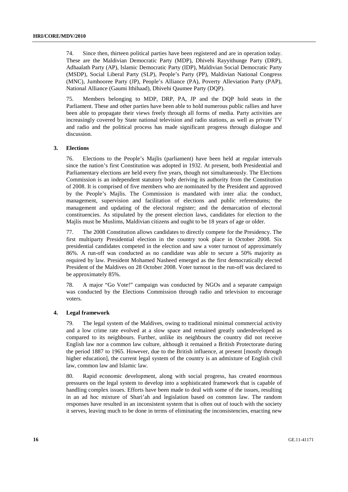74. Since then, thirteen political parties have been registered and are in operation today. These are the Maldivian Democratic Party (MDP), Dhivehi Rayyithunge Party (DRP), Adhaalath Party (AP), Islamic Democratic Party (IDP), Maldivian Social Democratic Party (MSDP), Social Liberal Party (SLP), People's Party (PP), Maldivian National Congress (MNC), Jumhooree Party (JP), People's Alliance (PA), Poverty Alleviation Party (PAP), National Alliance (Gaumi Ithihaad), Dhivehi Qaumee Party (DQP).

75. Members belonging to MDP, DRP, PA, JP and the DQP hold seats in the Parliament. These and other parties have been able to hold numerous public rallies and have been able to propagate their views freely through all forms of media. Party activities are increasingly covered by State national television and radio stations, as well as private TV and radio and the political process has made significant progress through dialogue and discussion.

#### **3. Elections**

76. Elections to the People's Majlis (parliament) have been held at regular intervals since the nation's first Constitution was adopted in 1932. At present, both Presidential and Parliamentary elections are held every five years, though not simultaneously. The Elections Commission is an independent statutory body deriving its authority from the Constitution of 2008. It is comprised of five members who are nominated by the President and approved by the People's Majlis. The Commission is mandated with inter alia: the conduct, management, supervision and facilitation of elections and public referendums; the management and updating of the electoral register; and the demarcation of electoral constituencies. As stipulated by the present election laws, candidates for election to the Majlis must be Muslims, Maldivian citizens and ought to be 18 years of age or older.

77. The 2008 Constitution allows candidates to directly compete for the Presidency. The first multiparty Presidential election in the country took place in October 2008. Six presidential candidates competed in the election and saw a voter turnout of approximately 86%. A run-off was conducted as no candidate was able to secure a 50% majority as required by law. President Mohamed Nasheed emerged as the first democratically elected President of the Maldives on 28 October 2008. Voter turnout in the run-off was declared to be approximately 85%.

78. A major "Go Vote!" campaign was conducted by NGOs and a separate campaign was conducted by the Elections Commission through radio and television to encourage voters.

#### **4. Legal framework**

79. The legal system of the Maldives, owing to traditional minimal commercial activity and a low crime rate evolved at a slow space and remained greatly underdeveloped as compared to its neighbours. Further, unlike its neighbours the country did not receive English law nor a common law culture, although it remained a British Protectorate during the period 1887 to 1965. However, due to the British influence, at present [mostly through higher education], the current legal system of the country is an admixture of English civil law, common law and Islamic law.

80. Rapid economic development, along with social progress, has created enormous pressures on the legal system to develop into a sophisticated framework that is capable of handling complex issues. Efforts have been made to deal with some of the issues, resulting in an ad hoc mixture of Shari'ah and legislation based on common law. The random responses have resulted in an inconsistent system that is often out of touch with the society it serves, leaving much to be done in terms of eliminating the inconsistencies, enacting new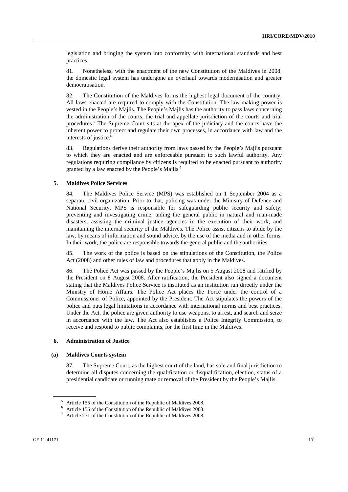legislation and bringing the system into conformity with international standards and best practices.

81. Nonetheless, with the enactment of the new Constitution of the Maldives in 2008, the domestic legal system has undergone an overhaul towards modernisation and greater democratisation.

82. The Constitution of the Maldives forms the highest legal document of the country. All laws enacted are required to comply with the Constitution. The law-making power is vested in the People's Majlis. The People's Majlis has the authority to pass laws concerning the administration of the courts, the trial and appellate jurisdiction of the courts and trial procedures.<sup>5</sup> The Supreme Court sits at the apex of the judiciary and the courts have the inherent power to protect and regulate their own processes, in accordance with law and the interests of justice.<sup>6</sup>

83. Regulations derive their authority from laws passed by the People's Majlis pursuant to which they are enacted and are enforceable pursuant to such lawful authority. Any regulations requiring compliance by citizens is required to be enacted pursuant to authority granted by a law enacted by the People's Majlis.7

#### **5. Maldives Police Services**

84. The Maldives Police Service (MPS) was established on 1 September 2004 as a separate civil organization. Prior to that, policing was under the Ministry of Defence and National Security. MPS is responsible for safeguarding public security and safety; preventing and investigating crime; aiding the general public in natural and man-made disasters; assisting the criminal justice agencies in the execution of their work; and maintaining the internal security of the Maldives. The Police assist citizens to abide by the law, by means of information and sound advice, by the use of the media and in other forms. In their work, the police are responsible towards the general public and the authorities.

85. The work of the police is based on the stipulations of the Constitution, the Police Act (2008) and other rules of law and procedures that apply in the Maldives.

86. The Police Act was passed by the People's Majlis on 5 August 2008 and ratified by the President on 8 August 2008. After ratification, the President also signed a document stating that the Maldives Police Service is instituted as an institution run directly under the Ministry of Home Affairs. The Police Act places the Force under the control of a Commissioner of Police, appointed by the President. The Act stipulates the powers of the police and puts legal limitations in accordance with international norms and best practices. Under the Act, the police are given authority to use weapons, to arrest, and search and seize in accordance with the law. The Act also establishes a Police Integrity Commission, to receive and respond to public complaints, for the first time in the Maldives.

## **6. Administration of Justice**

#### **(a) Maldives Courts system**

87. The Supreme Court, as the highest court of the land, has sole and final jurisdiction to determine all disputes concerning the qualification or disqualification, election, status of a presidential candidate or running mate or removal of the President by the People's Majlis.

<sup>5</sup> Article 155 of the Constitution of the Republic of Maldives 2008.

<sup>&</sup>lt;sup>6</sup> Article 156 of the Constitution of the Republic of Maldives 2008.

<sup>7</sup> Article 271 of the Constitution of the Republic of Maldives 2008.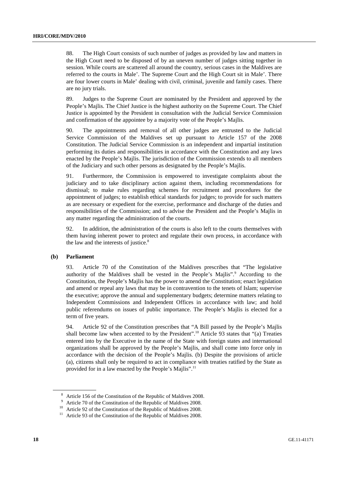88. The High Court consists of such number of judges as provided by law and matters in the High Court need to be disposed of by an uneven number of judges sitting together in session. While courts are scattered all around the country, serious cases in the Maldives are referred to the courts in Male'. The Supreme Court and the High Court sit in Male'. There are four lower courts in Male' dealing with civil, criminal, juvenile and family cases. There are no jury trials.

89. Judges to the Supreme Court are nominated by the President and approved by the People's Majlis. The Chief Justice is the highest authority on the Supreme Court. The Chief Justice is appointed by the President in consultation with the Judicial Service Commission and confirmation of the appointee by a majority vote of the People's Majlis.

90. The appointments and removal of all other judges are entrusted to the Judicial Service Commission of the Maldives set up pursuant to Article 157 of the 2008 Constitution. The Judicial Service Commission is an independent and impartial institution performing its duties and responsibilities in accordance with the Constitution and any laws enacted by the People's Majlis. The jurisdiction of the Commission extends to all members of the Judiciary and such other persons as designated by the People's Majlis.

91. Furthermore, the Commission is empowered to investigate complaints about the judiciary and to take disciplinary action against them, including recommendations for dismissal; to make rules regarding schemes for recruitment and procedures for the appointment of judges; to establish ethical standards for judges; to provide for such matters as are necessary or expedient for the exercise, performance and discharge of the duties and responsibilities of the Commission; and to advise the President and the People's Majlis in any matter regarding the administration of the courts.

92. In addition, the administration of the courts is also left to the courts themselves with them having inherent power to protect and regulate their own process, in accordance with the law and the interests of justice.<sup>8</sup>

#### **(b) Parliament**

93. Article 70 of the Constitution of the Maldives prescribes that "The legislative authority of the Maldives shall be vested in the People's Majlis".<sup>9</sup> According to the Constitution, the People's Majlis has the power to amend the Constitution; enact legislation and amend or repeal any laws that may be in contravention to the tenets of Islam; supervise the executive; approve the annual and supplementary budgets; determine matters relating to Independent Commissions and Independent Offices in accordance with law; and hold public referendums on issues of public importance. The People's Majlis is elected for a term of five years.

94. Article 92 of the Constitution prescribes that "A Bill passed by the People's Majlis shall become law when accented to by the President".10 Article 93 states that "(a) Treaties entered into by the Executive in the name of the State with foreign states and international organizations shall be approved by the People's Majlis, and shall come into force only in accordance with the decision of the People's Majlis. (b) Despite the provisions of article (a), citizens shall only be required to act in compliance with treaties ratified by the State as provided for in a law enacted by the People's Majlis".11

<sup>&</sup>lt;sup>8</sup> Article 156 of the Constitution of the Republic of Maldives 2008.

<sup>&</sup>lt;sup>9</sup> Article 70 of the Constitution of the Republic of Maldives 2008.

<sup>&</sup>lt;sup>10</sup> Article 92 of the Constitution of the Republic of Maldives 2008.

 $11$  Article 93 of the Constitution of the Republic of Maldives 2008.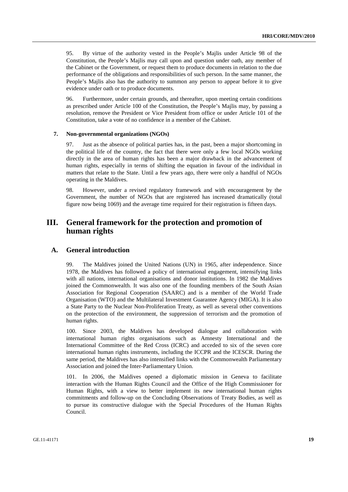95. By virtue of the authority vested in the People's Majlis under Article 98 of the Constitution, the People's Majlis may call upon and question under oath, any member of the Cabinet or the Government, or request them to produce documents in relation to the due performance of the obligations and responsibilities of such person. In the same manner, the People's Majlis also has the authority to summon any person to appear before it to give evidence under oath or to produce documents.

96. Furthermore, under certain grounds, and thereafter, upon meeting certain conditions as prescribed under Article 100 of the Constitution, the People's Majlis may, by passing a resolution, remove the President or Vice President from office or under Article 101 of the Constitution, take a vote of no confidence in a member of the Cabinet.

#### **7. Non-governmental organizations (NGOs)**

97. Just as the absence of political parties has, in the past, been a major shortcoming in the political life of the country, the fact that there were only a few local NGOs working directly in the area of human rights has been a major drawback in the advancement of human rights, especially in terms of shifting the equation in favour of the individual in matters that relate to the State. Until a few years ago, there were only a handful of NGOs operating in the Maldives.

98. However, under a revised regulatory framework and with encouragement by the Government, the number of NGOs that are registered has increased dramatically (total figure now being 1069) and the average time required for their registration is fifteen days.

## **III. General framework for the protection and promotion of human rights**

## **A. General introduction**

99. The Maldives joined the United Nations (UN) in 1965, after independence. Since 1978, the Maldives has followed a policy of international engagement, intensifying links with all nations, international organisations and donor institutions. In 1982 the Maldives joined the Commonwealth. It was also one of the founding members of the South Asian Association for Regional Cooperation (SAARC) and is a member of the World Trade Organisation (WTO) and the Multilateral Investment Guarantee Agency (MIGA). It is also a State Party to the Nuclear Non-Proliferation Treaty, as well as several other conventions on the protection of the environment, the suppression of terrorism and the promotion of human rights.

100. Since 2003, the Maldives has developed dialogue and collaboration with international human rights organisations such as Amnesty International and the International Committee of the Red Cross (ICRC) and acceded to six of the seven core international human rights instruments, including the ICCPR and the ICESCR. During the same period, the Maldives has also intensified links with the Commonwealth Parliamentary Association and joined the Inter-Parliamentary Union.

101. In 2006, the Maldives opened a diplomatic mission in Geneva to facilitate interaction with the Human Rights Council and the Office of the High Commissioner for Human Rights, with a view to better implement its new international human rights commitments and follow-up on the Concluding Observations of Treaty Bodies, as well as to pursue its constructive dialogue with the Special Procedures of the Human Rights Council.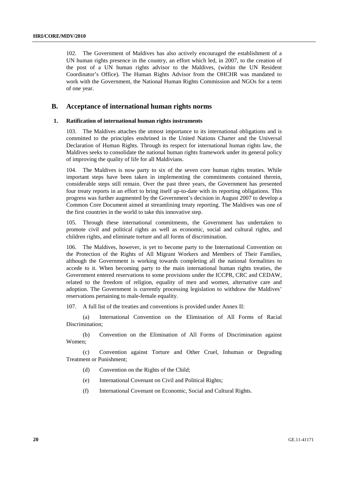102. The Government of Maldives has also actively encouraged the establishment of a UN human rights presence in the country, an effort which led, in 2007, to the creation of the post of a UN human rights advisor to the Maldives, (within the UN Resident Coordinator's Office). The Human Rights Advisor from the OHCHR was mandated to work with the Government, the National Human Rights Commission and NGOs for a term of one year.

## **B. Acceptance of international human rights norms**

#### **1. Ratification of international human rights instruments**

103. The Maldives attaches the utmost importance to its international obligations and is committed to the principles enshrined in the United Nations Charter and the Universal Declaration of Human Rights. Through its respect for international human rights law, the Maldives seeks to consolidate the national human rights framework under its general policy of improving the quality of life for all Maldivians.

104. The Maldives is now party to six of the seven core human rights treaties. While important steps have been taken in implementing the commitments contained therein, considerable steps still remain. Over the past three years, the Government has presented four treaty reports in an effort to bring itself up-to-date with its reporting obligations. This progress was further augmented by the Government's decision in August 2007 to develop a Common Core Document aimed at streamlining treaty reporting. The Maldives was one of the first countries in the world to take this innovative step.

105. Through these international commitments, the Government has undertaken to promote civil and political rights as well as economic, social and cultural rights, and children rights, and eliminate torture and all forms of discrimination.

106. The Maldives, however, is yet to become party to the International Convention on the Protection of the Rights of All Migrant Workers and Members of Their Families, although the Government is working towards completing all the national formalities to accede to it. When becoming party to the main international human rights treaties, the Government entered reservations to some provisions under the ICCPR, CRC and CEDAW, related to the freedom of religion, equality of men and women, alternative care and adoption. The Government is currently processing legislation to withdraw the Maldives' reservations pertaining to male-female equality.

107. A full list of the treaties and conventions is provided under Annex II:

 (a) International Convention on the Elimination of All Forms of Racial Discrimination;

 (b) Convention on the Elimination of All Forms of Discrimination against Women;

 (c) Convention against Torture and Other Cruel, Inhuman or Degrading Treatment or Punishment;

- (d) Convention on the Rights of the Child;
- (e) International Covenant on Civil and Political Rights;
- (f) International Covenant on Economic, Social and Cultural Rights.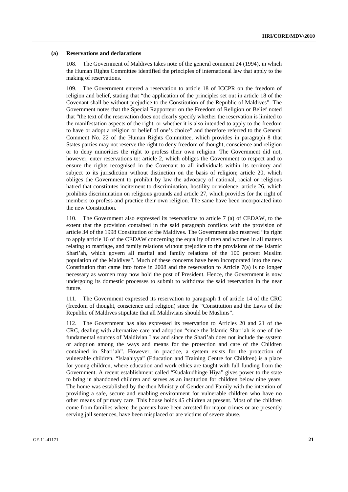#### **(a) Reservations and declarations**

108. The Government of Maldives takes note of the general comment 24 (1994), in which the Human Rights Committee identified the principles of international law that apply to the making of reservations.

109. The Government entered a reservation to article 18 of ICCPR on the freedom of religion and belief, stating that "the application of the principles set out in article 18 of the Covenant shall be without prejudice to the Constitution of the Republic of Maldives". The Government notes that the Special Rapporteur on the Freedom of Religion or Belief noted that "the text of the reservation does not clearly specify whether the reservation is limited to the manifestation aspects of the right, or whether it is also intended to apply to the freedom to have or adopt a religion or belief of one's choice" and therefore referred to the General Comment No. 22 of the Human Rights Committee, which provides in paragraph 8 that States parties may not reserve the right to deny freedom of thought, conscience and religion or to deny minorities the right to profess their own religion. The Government did not, however, enter reservations to: article 2, which obliges the Government to respect and to ensure the rights recognised in the Covenant to all individuals within its territory and subject to its jurisdiction without distinction on the basis of religion; article 20, which obliges the Government to prohibit by law the advocacy of national, racial or religious hatred that constitutes incitement to discrimination, hostility or violence; article 26, which prohibits discrimination on religious grounds and article 27, which provides for the right of members to profess and practice their own religion. The same have been incorporated into the new Constitution.

110. The Government also expressed its reservations to article 7 (a) of CEDAW, to the extent that the provision contained in the said paragraph conflicts with the provision of article 34 of the 1998 Constitution of the Maldives. The Government also reserved "its right to apply article 16 of the CEDAW concerning the equality of men and women in all matters relating to marriage, and family relations without prejudice to the provisions of the Islamic Shari'ah, which govern all marital and family relations of the 100 percent Muslim population of the Maldives". Much of these concerns have been incorporated into the new Constitution that came into force in 2008 and the reservation to Article 7(a) is no longer necessary as women may now hold the post of President. Hence, the Government is now undergoing its domestic processes to submit to withdraw the said reservation in the near future.

111. The Government expressed its reservation to paragraph 1 of article 14 of the CRC (freedom of thought, conscience and religion) since the "Constitution and the Laws of the Republic of Maldives stipulate that all Maldivians should be Muslims".

112. The Government has also expressed its reservation to Articles 20 and 21 of the CRC, dealing with alternative care and adoption "since the Islamic Shari'ah is one of the fundamental sources of Maldivian Law and since the Shari'ah does not include the system or adoption among the ways and means for the protection and care of the Children contained in Shari'ah". However, in practice, a system exists for the protection of vulnerable children. "Islaahiyya" (Education and Training Centre for Children) is a place for young children, where education and work ethics are taught with full funding from the Government. A recent establishment called "Kudakudhinge Hiya" gives power to the state to bring in abandoned children and serves as an institution for children below nine years. The home was established by the then Ministry of Gender and Family with the intention of providing a safe, secure and enabling environment for vulnerable children who have no other means of primary care. This house holds 45 children at present. Most of the children come from families where the parents have been arrested for major crimes or are presently serving jail sentences, have been misplaced or are victims of severe abuse.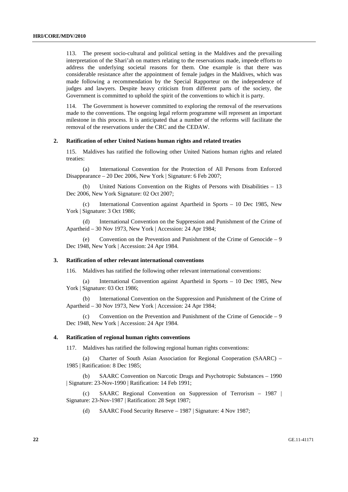113. The present socio-cultural and political setting in the Maldives and the prevailing interpretation of the Shari'ah on matters relating to the reservations made, impede efforts to address the underlying societal reasons for them. One example is that there was considerable resistance after the appointment of female judges in the Maldives, which was made following a recommendation by the Special Rapporteur on the independence of judges and lawyers. Despite heavy criticism from different parts of the society, the Government is committed to uphold the spirit of the conventions to which it is party.

114. The Government is however committed to exploring the removal of the reservations made to the conventions. The ongoing legal reform programme will represent an important milestone in this process. It is anticipated that a number of the reforms will facilitate the removal of the reservations under the CRC and the CEDAW.

#### **2. Ratification of other United Nations human rights and related treaties**

115. Maldives has ratified the following other United Nations human rights and related treaties:

International Convention for the Protection of All Persons from Enforced Disappearance – 20 Dec 2006, New York | Signature: 6 Feb 2007;

 (b) United Nations Convention on the Rights of Persons with Disabilities – 13 Dec 2006, New York Signature: 02 Oct 2007;

 (c) International Convention against Apartheid in Sports – 10 Dec 1985, New York | Signature: 3 Oct 1986;

 (d) International Convention on the Suppression and Punishment of the Crime of Apartheid – 30 Nov 1973, New York | Accession: 24 Apr 1984;

Convention on the Prevention and Punishment of the Crime of Genocide  $-9$ Dec 1948, New York | Accession: 24 Apr 1984.

#### **3. Ratification of other relevant international conventions**

116. Maldives has ratified the following other relevant international conventions:

 (a) International Convention against Apartheid in Sports – 10 Dec 1985, New York | Signature: 03 Oct 1986;

 (b) International Convention on the Suppression and Punishment of the Crime of Apartheid – 30 Nov 1973, New York | Accession: 24 Apr 1984;

 (c) Convention on the Prevention and Punishment of the Crime of Genocide – 9 Dec 1948, New York | Accession: 24 Apr 1984.

#### **4. Ratification of regional human rights conventions**

117. Maldives has ratified the following regional human rights conventions:

 (a) Charter of South Asian Association for Regional Cooperation (SAARC) – 1985 | Ratification: 8 Dec 1985;

 (b) SAARC Convention on Narcotic Drugs and Psychotropic Substances – 1990 | Signature: 23-Nov-1990 | Ratification: 14 Feb 1991;

 (c) SAARC Regional Convention on Suppression of Terrorism – 1987 | Signature: 23-Nov-1987 | Ratification: 28 Sept 1987;

(d) SAARC Food Security Reserve – 1987 | Signature: 4 Nov 1987;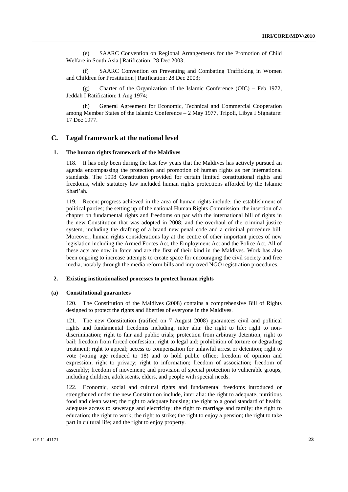(e) SAARC Convention on Regional Arrangements for the Promotion of Child Welfare in South Asia | Ratification: 28 Dec 2003;

 (f) SAARC Convention on Preventing and Combating Trafficking in Women and Children for Prostitution | Ratification: 28 Dec 2003;

(g) Charter of the Organization of the Islamic Conference (OIC) – Feb 1972, Jeddah I Ratification: 1 Aug 1974;

 (h) General Agreement for Economic, Technical and Commercial Cooperation among Member States of the Islamic Conference – 2 May 1977, Tripoli, Libya I Signature: 17 Dec 1977.

## **C. Legal framework at the national level**

#### **1. The human rights framework of the Maldives**

118. It has only been during the last few years that the Maldives has actively pursued an agenda encompassing the protection and promotion of human rights as per international standards. The 1998 Constitution provided for certain limited constitutional rights and freedoms, while statutory law included human rights protections afforded by the Islamic Shari'ah.

119. Recent progress achieved in the area of human rights include: the establishment of political parties; the setting up of the national Human Rights Commission; the insertion of a chapter on fundamental rights and freedoms on par with the international bill of rights in the new Constitution that was adopted in 2008; and the overhaul of the criminal justice system, including the drafting of a brand new penal code and a criminal procedure bill. Moreover, human rights considerations lay at the centre of other important pieces of new legislation including the Armed Forces Act, the Employment Act and the Police Act. All of these acts are now in force and are the first of their kind in the Maldives. Work has also been ongoing to increase attempts to create space for encouraging the civil society and free media, notably through the media reform bills and improved NGO registration procedures.

#### **2. Existing institutionalised processes to protect human rights**

#### **(a) Constitutional guarantees**

120. The Constitution of the Maldives (2008) contains a comprehensive Bill of Rights designed to protect the rights and liberties of everyone in the Maldives.

121. The new Constitution (ratified on 7 August 2008) guarantees civil and political rights and fundamental freedoms including, inter alia: the right to life; right to nondiscrimination; right to fair and public trials; protection from arbitrary detention; right to bail; freedom from forced confession; right to legal aid; prohibition of torture or degrading treatment; right to appeal; access to compensation for unlawful arrest or detention; right to vote (voting age reduced to 18) and to hold public office; freedom of opinion and expression; right to privacy; right to information; freedom of association; freedom of assembly; freedom of movement; and provision of special protection to vulnerable groups, including children, adolescents, elders, and people with special needs.

122. Economic, social and cultural rights and fundamental freedoms introduced or strengthened under the new Constitution include, inter alia: the right to adequate, nutritious food and clean water; the right to adequate housing; the right to a good standard of health; adequate access to sewerage and electricity; the right to marriage and family; the right to education; the right to work; the right to strike; the right to enjoy a pension; the right to take part in cultural life; and the right to enjoy property.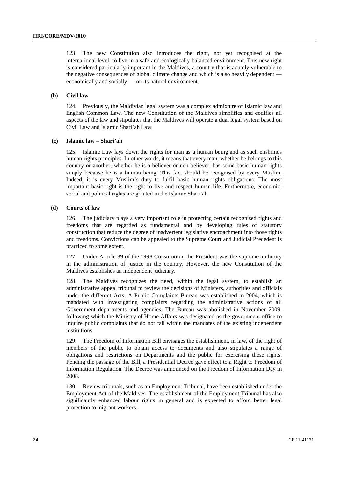123. The new Constitution also introduces the right, not yet recognised at the international-level, to live in a safe and ecologically balanced environment. This new right is considered particularly important in the Maldives, a country that is acutely vulnerable to the negative consequences of global climate change and which is also heavily dependent economically and socially — on its natural environment.

#### **(b) Civil law**

124. Previously, the Maldivian legal system was a complex admixture of Islamic law and English Common Law. The new Constitution of the Maldives simplifies and codifies all aspects of the law and stipulates that the Maldives will operate a dual legal system based on Civil Law and Islamic Shari'ah Law.

#### **(c) Islamic law – Shari'ah**

125. Islamic Law lays down the rights for man as a human being and as such enshrines human rights principles. In other words, it means that every man, whether he belongs to this country or another, whether he is a believer or non-believer, has some basic human rights simply because he is a human being. This fact should be recognised by every Muslim. Indeed, it is every Muslim's duty to fulfil basic human rights obligations. The most important basic right is the right to live and respect human life. Furthermore, economic, social and political rights are granted in the Islamic Shari'ah.

#### **(d) Courts of law**

126. The judiciary plays a very important role in protecting certain recognised rights and freedoms that are regarded as fundamental and by developing rules of statutory construction that reduce the degree of inadvertent legislative encroachment into those rights and freedoms. Convictions can be appealed to the Supreme Court and Judicial Precedent is practiced to some extent.

127. Under Article 39 of the 1998 Constitution, the President was the supreme authority in the administration of justice in the country. However, the new Constitution of the Maldives establishes an independent judiciary.

128. The Maldives recognizes the need, within the legal system, to establish an administrative appeal tribunal to review the decisions of Ministers, authorities and officials under the different Acts. A Public Complaints Bureau was established in 2004, which is mandated with investigating complaints regarding the administrative actions of all Government departments and agencies. The Bureau was abolished in November 2009, following which the Ministry of Home Affairs was designated as the government office to inquire public complaints that do not fall within the mandates of the existing independent institutions.

129. The Freedom of Information Bill envisages the establishment, in law, of the right of members of the public to obtain access to documents and also stipulates a range of obligations and restrictions on Departments and the public for exercising these rights. Pending the passage of the Bill, a Presidential Decree gave effect to a Right to Freedom of Information Regulation. The Decree was announced on the Freedom of Information Day in 2008.

130. Review tribunals, such as an Employment Tribunal, have been established under the Employment Act of the Maldives. The establishment of the Employment Tribunal has also significantly enhanced labour rights in general and is expected to afford better legal protection to migrant workers.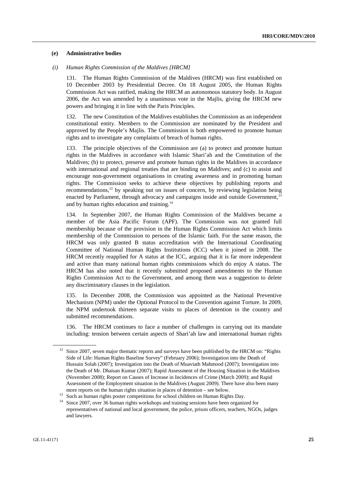#### **(e) Administrative bodies**

### *(i) Human Rights Commission of the Maldives [HRCM]*

131. The Human Rights Commission of the Maldives (HRCM) was first established on 10 December 2003 by Presidential Decree. On 18 August 2005, the Human Rights Commission Act was ratified, making the HRCM an autonomous statutory body. In August 2006, the Act was amended by a unanimous vote in the Majlis, giving the HRCM new powers and bringing it in line with the Paris Principles.

The new Constitution of the Maldives establishes the Commission as an independent constitutional entity. Members to the Commission are nominated by the President and approved by the People's Majlis. The Commission is both empowered to promote human rights and to investigate any complaints of breach of human rights.

133. The principle objectives of the Commission are (a) to protect and promote human rights in the Maldives in accordance with Islamic Shari'ah and the Constitution of the Maldives; (b) to protect, preserve and promote human rights in the Maldives in accordance with international and regional treaties that are binding on Maldives; and (c) to assist and encourage non-government organisations in creating awareness and in promoting human rights. The Commission seeks to achieve these objectives by publishing reports and recommendations,12 by speaking out on issues of concern, by reviewing legislation being enacted by Parliament, through advocacy and campaigns inside and outside Government.<sup>13</sup> and by human rights education and training.14

134. In September 2007, the Human Rights Commission of the Maldives became a member of the Asia Pacific Forum (APF). The Commission was not granted full membership because of the provision in the Human Rights Commission Act which limits membership of the Commission to persons of the Islamic faith. For the same reason, the HRCM was only granted B status accreditation with the International Coordinating Committee of National Human Rights Institutions (ICC) when it joined in 2008. The HRCM recently reapplied for A status at the ICC, arguing that it is far more independent and active than many national human rights commissions which do enjoy A status. The HRCM has also noted that it recently submitted proposed amendments to the Human Rights Commission Act to the Government, and among them was a suggestion to delete any discriminatory clauses in the legislation.

135. In December 2008, the Commission was appointed as the National Preventive Mechanism (NPM) under the Optional Protocol to the Convention against Torture. In 2009, the NPM undertook thirteen separate visits to places of detention in the country and submitted recommendations.

136. The HRCM continues to face a number of challenges in carrying out its mandate including: tension between certain aspects of Shari'ah law and international human rights

 $12$  Since 2007, seven major thematic reports and surveys have been published by the HRCM on: "Rights" Side of Life: Human Rights Baseline Survey" (February 2006); Investigation into the Death of Hussain Solah (2007); Investigation into the Death of Muaviath Mahmood (2007); Investigation into the Death of Mr. Dhaisan Kumar (2007); Rapid Assessment of the Housing Situation in the Maldives (November 2008); Report on Causes of Increase in Incidences of Crime (March 2009); and Rapid Assessment of the Employment situation in the Maldives (August 2009). There have also been many

more reports on the human rights situation in places of detention – see below.<br><sup>13</sup> Such as human rights poster competitions for school children on Human Rights Day.

<sup>&</sup>lt;sup>14</sup> Since 2007, over 36 human rights workshops and training sessions have been organized for representatives of national and local government, the police, prison officers, teachers, NGOs, judges and lawyers.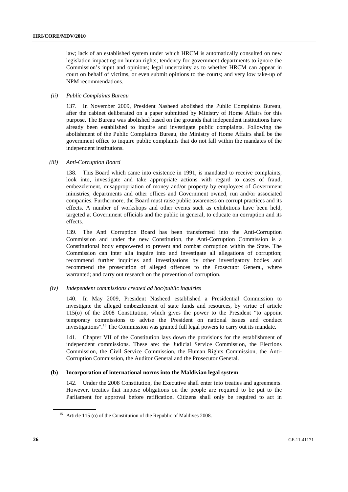law; lack of an established system under which HRCM is automatically consulted on new legislation impacting on human rights; tendency for government departments to ignore the Commission's input and opinions; legal uncertainty as to whether HRCM can appear in court on behalf of victims, or even submit opinions to the courts; and very low take-up of NPM recommendations.

#### *(ii) Public Complaints Bureau*

137. In November 2009, President Nasheed abolished the Public Complaints Bureau, after the cabinet deliberated on a paper submitted by Ministry of Home Affairs for this purpose. The Bureau was abolished based on the grounds that independent institutions have already been established to inquire and investigate public complaints. Following the abolishment of the Public Complaints Bureau, the Ministry of Home Affairs shall be the government office to inquire public complaints that do not fall within the mandates of the independent institutions.

#### *(iii) Anti-Corruption Board*

138. This Board which came into existence in 1991, is mandated to receive complaints, look into, investigate and take appropriate actions with regard to cases of fraud, embezzlement, misappropriation of money and/or property by employees of Government ministries, departments and other offices and Government owned, run and/or associated companies. Furthermore, the Board must raise public awareness on corrupt practices and its effects. A number of workshops and other events such as exhibitions have been held, targeted at Government officials and the public in general, to educate on corruption and its effects.

139. The Anti Corruption Board has been transformed into the Anti-Corruption Commission and under the new Constitution, the Anti-Corruption Commission is a Constitutional body empowered to prevent and combat corruption within the State. The Commission can inter alia inquire into and investigate all allegations of corruption; recommend further inquiries and investigations by other investigatory bodies and recommend the prosecution of alleged offences to the Prosecutor General, where warranted; and carry out research on the prevention of corruption.

#### *(iv) Independent commissions created ad hoc/public inquiries*

140. In May 2009, President Nasheed established a Presidential Commission to investigate the alleged embezzlement of state funds and resources, by virtue of article 115(o) of the 2008 Constitution, which gives the power to the President "to appoint temporary commissions to advise the President on national issues and conduct investigations".<sup>15</sup> The Commission was granted full legal powers to carry out its mandate.

141. Chapter VII of the Constitution lays down the provisions for the establishment of independent commissions. These are: the Judicial Service Commission, the Elections Commission, the Civil Service Commission, the Human Rights Commission, the Anti-Corruption Commission, the Auditor General and the Prosecutor General.

#### **(b) Incorporation of international norms into the Maldivian legal system**

142. Under the 2008 Constitution, the Executive shall enter into treaties and agreements. However, treaties that impose obligations on the people are required to be put to the Parliament for approval before ratification. Citizens shall only be required to act in

<sup>&</sup>lt;sup>15</sup> Article 115 (o) of the Constitution of the Republic of Maldives 2008.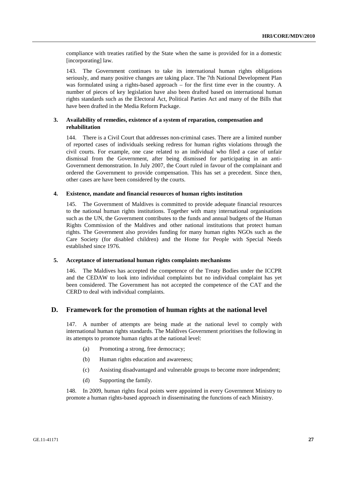compliance with treaties ratified by the State when the same is provided for in a domestic [incorporating] law.

143. The Government continues to take its international human rights obligations seriously, and many positive changes are taking place. The 7th National Development Plan was formulated using a rights-based approach – for the first time ever in the country. A number of pieces of key legislation have also been drafted based on international human rights standards such as the Electoral Act, Political Parties Act and many of the Bills that have been drafted in the Media Reform Package.

## **3. Availability of remedies, existence of a system of reparation, compensation and rehabilitation**

144. There is a Civil Court that addresses non-criminal cases. There are a limited number of reported cases of individuals seeking redress for human rights violations through the civil courts. For example, one case related to an individual who filed a case of unfair dismissal from the Government, after being dismissed for participating in an anti-Government demonstration. In July 2007, the Court ruled in favour of the complainant and ordered the Government to provide compensation. This has set a precedent. Since then, other cases are have been considered by the courts.

#### **4. Existence, mandate and financial resources of human rights institution**

145. The Government of Maldives is committed to provide adequate financial resources to the national human rights institutions. Together with many international organisations such as the UN, the Government contributes to the funds and annual budgets of the Human Rights Commission of the Maldives and other national institutions that protect human rights. The Government also provides funding for many human rights NGOs such as the Care Society (for disabled children) and the Home for People with Special Needs established since 1976.

#### **5. Acceptance of international human rights complaints mechanisms**

146. The Maldives has accepted the competence of the Treaty Bodies under the ICCPR and the CEDAW to look into individual complaints but no individual complaint has yet been considered. The Government has not accepted the competence of the CAT and the CERD to deal with individual complaints.

## **D. Framework for the promotion of human rights at the national level**

147. A number of attempts are being made at the national level to comply with international human rights standards. The Maldives Government prioritises the following in its attempts to promote human rights at the national level:

- (a) Promoting a strong, free democracy;
- (b) Human rights education and awareness;
- (c) Assisting disadvantaged and vulnerable groups to become more independent;
- (d) Supporting the family.

148. In 2009, human rights focal points were appointed in every Government Ministry to promote a human rights-based approach in disseminating the functions of each Ministry.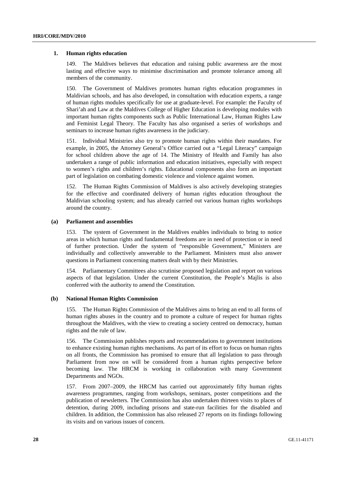#### **1. Human rights education**

149. The Maldives believes that education and raising public awareness are the most lasting and effective ways to minimise discrimination and promote tolerance among all members of the community.

150. The Government of Maldives promotes human rights education programmes in Maldivian schools, and has also developed, in consultation with education experts, a range of human rights modules specifically for use at graduate-level. For example: the Faculty of Shari'ah and Law at the Maldives College of Higher Education is developing modules with important human rights components such as Public International Law, Human Rights Law and Feminist Legal Theory. The Faculty has also organised a series of workshops and seminars to increase human rights awareness in the judiciary.

151. Individual Ministries also try to promote human rights within their mandates. For example, in 2005, the Attorney General's Office carried out a "Legal Literacy" campaign for school children above the age of 14. The Ministry of Health and Family has also undertaken a range of public information and education initiatives, especially with respect to women's rights and children's rights. Educational components also form an important part of legislation on combating domestic violence and violence against women.

152. The Human Rights Commission of Maldives is also actively developing strategies for the effective and coordinated delivery of human rights education throughout the Maldivian schooling system; and has already carried out various human rights workshops around the country.

#### **(a) Parliament and assemblies**

153. The system of Government in the Maldives enables individuals to bring to notice areas in which human rights and fundamental freedoms are in need of protection or in need of further protection. Under the system of "responsible Government," Ministers are individually and collectively answerable to the Parliament. Ministers must also answer questions in Parliament concerning matters dealt with by their Ministries.

154. Parliamentary Committees also scrutinise proposed legislation and report on various aspects of that legislation. Under the current Constitution, the People's Majlis is also conferred with the authority to amend the Constitution.

#### **(b) National Human Rights Commission**

155. The Human Rights Commission of the Maldives aims to bring an end to all forms of human rights abuses in the country and to promote a culture of respect for human rights throughout the Maldives, with the view to creating a society centred on democracy, human rights and the rule of law.

156. The Commission publishes reports and recommendations to government institutions to enhance existing human rights mechanisms. As part of its effort to focus on human rights on all fronts, the Commission has promised to ensure that all legislation to pass through Parliament from now on will be considered from a human rights perspective before becoming law. The HRCM is working in collaboration with many Government Departments and NGOs.

157. From 2007–2009, the HRCM has carried out approximately fifty human rights awareness programmes, ranging from workshops, seminars, poster competitions and the publication of newsletters. The Commission has also undertaken thirteen visits to places of detention, during 2009, including prisons and state-run facilities for the disabled and children. In addition, the Commission has also released 27 reports on its findings following its visits and on various issues of concern.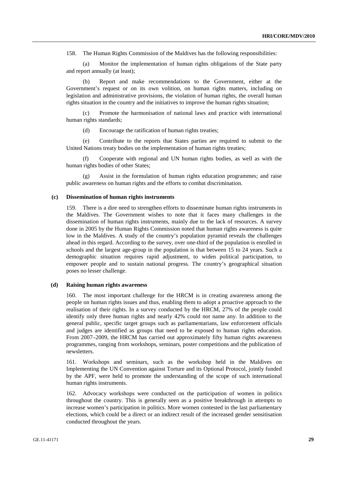158. The Human Rights Commission of the Maldives has the following responsibilities:

Monitor the implementation of human rights obligations of the State party and report annually (at least);

 (b) Report and make recommendations to the Government, either at the Government's request or on its own volition, on human rights matters, including on legislation and administrative provisions, the violation of human rights, the overall human rights situation in the country and the initiatives to improve the human rights situation;

 (c) Promote the harmonisation of national laws and practice with international human rights standards;

(d) Encourage the ratification of human rights treaties;

 (e) Contribute to the reports that States parties are required to submit to the United Nations treaty bodies on the implementation of human rights treaties;

 (f) Cooperate with regional and UN human rights bodies, as well as with the human rights bodies of other States;

Assist in the formulation of human rights education programmes; and raise public awareness on human rights and the efforts to combat discrimination.

#### **(c) Dissemination of human rights instruments**

159. There is a dire need to strengthen efforts to disseminate human rights instruments in the Maldives. The Government wishes to note that it faces many challenges in the dissemination of human rights instruments, mainly due to the lack of resources. A survey done in 2005 by the Human Rights Commission noted that human rights awareness is quite low in the Maldives. A study of the country's population pyramid reveals the challenges ahead in this regard. According to the survey, over one-third of the population is enrolled in schools and the largest age-group in the population is that between 15 to 24 years. Such a demographic situation requires rapid adjustment, to widen political participation, to empower people and to sustain national progress. The country's geographical situation poses no lesser challenge.

#### **(d) Raising human rights awareness**

The most important challenge for the HRCM is in creating awareness among the people on human rights issues and thus, enabling them to adopt a proactive approach to the realisation of their rights. In a survey conducted by the HRCM, 27% of the people could identify only three human rights and nearly 42% could not name any. In addition to the general public, specific target groups such as parliamentarians, law enforcement officials and judges are identified as groups that need to be exposed to human rights education. From 2007–2009, the HRCM has carried out approximately fifty human rights awareness programmes, ranging from workshops, seminars, poster competitions and the publication of newsletters.

161. Workshops and seminars, such as the workshop held in the Maldives on Implementing the UN Convention against Torture and its Optional Protocol, jointly funded by the APF, were held to promote the understanding of the scope of such international human rights instruments.

162. Advocacy workshops were conducted on the participation of women in politics throughout the country. This is generally seen as a positive breakthrough in attempts to increase women's participation in politics. More women contested in the last parliamentary elections, which could be a direct or an indirect result of the increased gender sensitisation conducted throughout the years.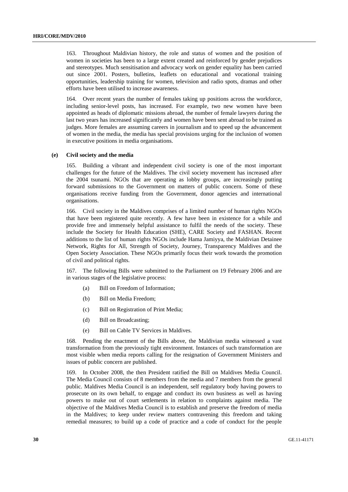163. Throughout Maldivian history, the role and status of women and the position of women in societies has been to a large extent created and reinforced by gender prejudices and stereotypes. Much sensitisation and advocacy work on gender equality has been carried out since 2001. Posters, bulletins, leaflets on educational and vocational training opportunities, leadership training for women, television and radio spots, dramas and other efforts have been utilised to increase awareness.

164. Over recent years the number of females taking up positions across the workforce, including senior-level posts, has increased. For example, two new women have been appointed as heads of diplomatic missions abroad, the number of female lawyers during the last two years has increased significantly and women have been sent abroad to be trained as judges. More females are assuming careers in journalism and to speed up the advancement of women in the media, the media has special provisions urging for the inclusion of women in executive positions in media organisations.

#### **(e) Civil society and the media**

165. Building a vibrant and independent civil society is one of the most important challenges for the future of the Maldives. The civil society movement has increased after the 2004 tsunami. NGOs that are operating as lobby groups, are increasingly putting forward submissions to the Government on matters of public concern. Some of these organisations receive funding from the Government, donor agencies and international organisations.

166. Civil society in the Maldives comprises of a limited number of human rights NGOs that have been registered quite recently. A few have been in existence for a while and provide free and immensely helpful assistance to fulfil the needs of the society. These include the Society for Health Education (SHE), CARE Society and FASHAN. Recent additions to the list of human rights NGOs include Hama Jamiyya, the Maldivian Detainee Network, Rights for All, Strength of Society, Journey, Transparency Maldives and the Open Society Association. These NGOs primarily focus their work towards the promotion of civil and political rights.

167. The following Bills were submitted to the Parliament on 19 February 2006 and are in various stages of the legislative process:

- (a) Bill on Freedom of Information;
- (b) Bill on Media Freedom;
- (c) Bill on Registration of Print Media;
- (d) Bill on Broadcasting;
- (e) Bill on Cable TV Services in Maldives.

168. Pending the enactment of the Bills above, the Maldivian media witnessed a vast transformation from the previously tight environment. Instances of such transformation are most visible when media reports calling for the resignation of Government Ministers and issues of public concern are published.

169. In October 2008, the then President ratified the Bill on Maldives Media Council. The Media Council consists of 8 members from the media and 7 members from the general public. Maldives Media Council is an independent, self regulatory body having powers to prosecute on its own behalf, to engage and conduct its own business as well as having powers to make out of court settlements in relation to complaints against media. The objective of the Maldives Media Council is to establish and preserve the freedom of media in the Maldives; to keep under review matters contravening this freedom and taking remedial measures; to build up a code of practice and a code of conduct for the people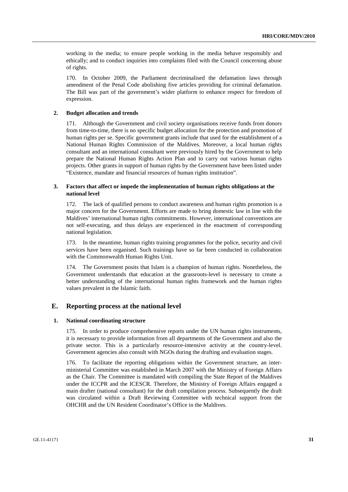working in the media; to ensure people working in the media behave responsibly and ethically; and to conduct inquiries into complaints filed with the Council concerning abuse of rights.

170. In October 2009, the Parliament decriminalised the defamation laws through amendment of the Penal Code abolishing five articles providing for criminal defamation. The Bill was part of the government's wider platform to enhance respect for freedom of expression.

#### **2. Budget allocation and trends**

171. Although the Government and civil society organisations receive funds from donors from time-to-time, there is no specific budget allocation for the protection and promotion of human rights per se. Specific government grants include that used for the establishment of a National Human Rights Commission of the Maldives. Moreover, a local human rights consultant and an international consultant were previously hired by the Government to help prepare the National Human Rights Action Plan and to carry out various human rights projects. Other grants in support of human rights by the Government have been listed under "Existence, mandate and financial resources of human rights institution".

#### **3. Factors that affect or impede the implementation of human rights obligations at the national level**

172. The lack of qualified persons to conduct awareness and human rights promotion is a major concern for the Government. Efforts are made to bring domestic law in line with the Maldives' international human rights commitments. However, international conventions are not self-executing, and thus delays are experienced in the enactment of corresponding national legislation.

173. In the meantime, human rights training programmes for the police, security and civil services have been organised. Such trainings have so far been conducted in collaboration with the Commonwealth Human Rights Unit.

174. The Government posits that Islam is a champion of human rights. Nonetheless, the Government understands that education at the grassroots-level is necessary to create a better understanding of the international human rights framework and the human rights values prevalent in the Islamic faith.

## **E. Reporting process at the national level**

#### **1. National coordinating structure**

175. In order to produce comprehensive reports under the UN human rights instruments, it is necessary to provide information from all departments of the Government and also the private sector. This is a particularly resource-intensive activity at the country-level. Government agencies also consult with NGOs during the drafting and evaluation stages.

176. To facilitate the reporting obligations within the Government structure, an interministerial Committee was established in March 2007 with the Ministry of Foreign Affairs as the Chair. The Committee is mandated with compiling the State Report of the Maldives under the ICCPR and the ICESCR. Therefore, the Ministry of Foreign Affairs engaged a main drafter (national consultant) for the draft compilation process. Subsequently the draft was circulated within a Draft Reviewing Committee with technical support from the OHCHR and the UN Resident Coordinator's Office in the Maldives.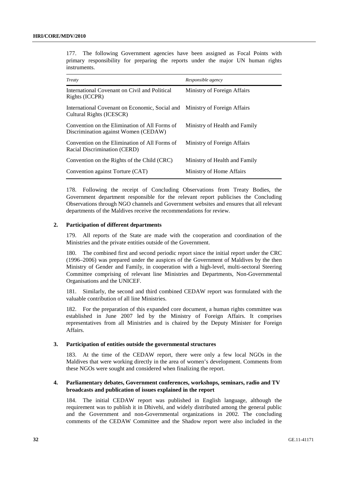177. The following Government agencies have been assigned as Focal Points with primary responsibility for preparing the reports under the major UN human rights instruments.

| Treaty                                                                                                 | Responsible agency            |
|--------------------------------------------------------------------------------------------------------|-------------------------------|
| International Covenant on Civil and Political<br>Rights (ICCPR)                                        | Ministry of Foreign Affairs   |
| International Covenant on Economic, Social and Ministry of Foreign Affairs<br>Cultural Rights (ICESCR) |                               |
| Convention on the Elimination of All Forms of<br>Discrimination against Women (CEDAW)                  | Ministry of Health and Family |
| Convention on the Elimination of All Forms of<br>Racial Discrimination (CERD)                          | Ministry of Foreign Affairs   |
| Convention on the Rights of the Child (CRC)                                                            | Ministry of Health and Family |
| Convention against Torture (CAT)                                                                       | Ministry of Home Affairs      |

178. Following the receipt of Concluding Observations from Treaty Bodies, the Government department responsible for the relevant report publicises the Concluding Observations through NGO channels and Government websites and ensures that all relevant departments of the Maldives receive the recommendations for review.

#### **2. Participation of different departments**

179. All reports of the State are made with the cooperation and coordination of the Ministries and the private entities outside of the Government.

180. The combined first and second periodic report since the initial report under the CRC (1996–2006) was prepared under the auspices of the Government of Maldives by the then Ministry of Gender and Family, in cooperation with a high-level, multi-sectoral Steering Committee comprising of relevant line Ministries and Departments, Non-Governmental Organisations and the UNICEF.

181. Similarly, the second and third combined CEDAW report was formulated with the valuable contribution of all line Ministries.

182. For the preparation of this expanded core document, a human rights committee was established in June 2007 led by the Ministry of Foreign Affairs. It comprises representatives from all Ministries and is chaired by the Deputy Minister for Foreign Affairs.

#### **3. Participation of entities outside the governmental structures**

183. At the time of the CEDAW report, there were only a few local NGOs in the Maldives that were working directly in the area of women's development. Comments from these NGOs were sought and considered when finalizing the report.

## **4. Parliamentary debates, Government conferences, workshops, seminars, radio and TV broadcasts and publication of issues explained in the report**

184. The initial CEDAW report was published in English language, although the requirement was to publish it in Dhivehi, and widely distributed among the general public and the Government and non-Governmental organizations in 2002. The concluding comments of the CEDAW Committee and the Shadow report were also included in the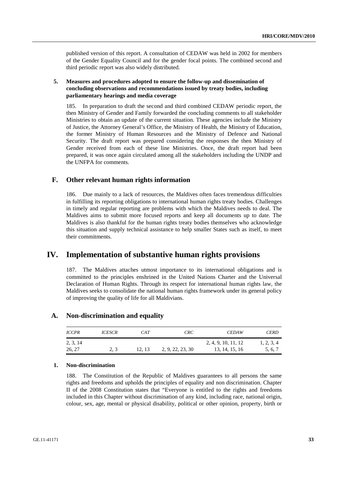published version of this report. A consultation of CEDAW was held in 2002 for members of the Gender Equality Council and for the gender focal points. The combined second and third periodic report was also widely distributed.

## **5. Measures and procedures adopted to ensure the follow-up and dissemination of concluding observations and recommendations issued by treaty bodies, including parliamentary hearings and media coverage**

185. In preparation to draft the second and third combined CEDAW periodic report, the then Ministry of Gender and Family forwarded the concluding comments to all stakeholder Ministries to obtain an update of the current situation. These agencies include the Ministry of Justice, the Attorney General's Office, the Ministry of Health, the Ministry of Education, the former Ministry of Human Resources and the Ministry of Defence and National Security. The draft report was prepared considering the responses the then Ministry of Gender received from each of these line Ministries. Once, the draft report had been prepared, it was once again circulated among all the stakeholders including the UNDP and the UNFPA for comments.

## **F. Other relevant human rights information**

186. Due mainly to a lack of resources, the Maldives often faces tremendous difficulties in fulfilling its reporting obligations to international human rights treaty bodies. Challenges in timely and regular reporting are problems with which the Maldives needs to deal. The Maldives aims to submit more focused reports and keep all documents up to date. The Maldives is also thankful for the human rights treaty bodies themselves who acknowledge this situation and supply technical assistance to help smaller States such as itself, to meet their commitments.

## **IV. Implementation of substantive human rights provisions**

187. The Maldives attaches utmost importance to its international obligations and is committed to the principles enshrined in the United Nations Charter and the Universal Declaration of Human Rights. Through its respect for international human rights law, the Maldives seeks to consolidate the national human rights framework under its general policy of improving the quality of life for all Maldivians.

## **A. Non-discrimination and equality**

| <b>ICCPR</b>       | <b>ICESCR</b> | CAT   | CRC              | <b>CEDAW</b>                          | <b>CERD</b>           |
|--------------------|---------------|-------|------------------|---------------------------------------|-----------------------|
| 2, 3, 14<br>26, 27 | 2.3           | 12.13 | 2, 9, 22, 23, 30 | 2, 4, 9, 10, 11, 12<br>13, 14, 15, 16 | 1, 2, 3, 4<br>5, 6, 7 |

#### **1. Non-discrimination**

188. The Constitution of the Republic of Maldives guarantees to all persons the same rights and freedoms and upholds the principles of equality and non discrimination. Chapter II of the 2008 Constitution states that "Everyone is entitled to the rights and freedoms included in this Chapter without discrimination of any kind, including race, national origin, colour, sex, age, mental or physical disability, political or other opinion, property, birth or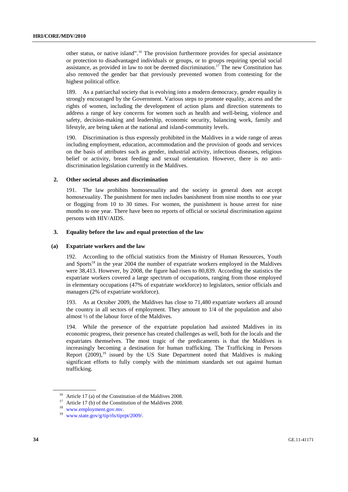other status, or native island".16 The provision furthermore provides for special assistance or protection to disadvantaged individuals or groups, or to groups requiring special social assistance, as provided in law to not be deemed discrimination.<sup>17</sup> The new Constitution has also removed the gender bar that previously prevented women from contesting for the highest political office.

189. As a patriarchal society that is evolving into a modern democracy, gender equality is strongly encouraged by the Government. Various steps to promote equality, access and the rights of women, including the development of action plans and direction statements to address a range of key concerns for women such as health and well-being, violence and safety, decision-making and leadership, economic security, balancing work, family and lifestyle, are being taken at the national and island-community levels.

190. Discrimination is thus expressly prohibited in the Maldives in a wide range of areas including employment, education, accommodation and the provision of goods and services on the basis of attributes such as gender, industrial activity, infectious diseases, religious belief or activity, breast feeding and sexual orientation. However, there is no antidiscrimination legislation currently in the Maldives.

#### **2. Other societal abuses and discrimination**

191. The law prohibits homosexuality and the society in general does not accept homosexuality. The punishment for men includes banishment from nine months to one year or flogging from 10 to 30 times. For women, the punishment is house arrest for nine months to one year. There have been no reports of official or societal discrimination against persons with HIV/AIDS.

#### **3. Equality before the law and equal protection of the law**

#### **(a) Expatriate workers and the law**

192. According to the official statistics from the Ministry of Human Resources, Youth and Sports<sup>18</sup> in the year 2004 the number of expatriate workers employed in the Maldives were 38,413. However, by 2008, the figure had risen to 80,839. According the statistics the expatriate workers covered a large spectrum of occupations, ranging from those employed in elementary occupations (47% of expatriate workforce) to legislators, senior officials and managers (2% of expatriate workforce).

193. As at October 2009, the Maldives has close to 71,480 expatriate workers all around the country in all sectors of employment. They amount to 1/4 of the population and also almost ½ of the labour force of the Maldives.

194. While the presence of the expatriate population had assisted Maldives in its economic progress, their presence has created challenges as well, both for the locals and the expatriates themselves. The most tragic of the predicaments is that the Maldives is increasingly becoming a destination for human trafficking. The Trafficking in Persons Report  $(2009)$ ,<sup>19</sup> issued by the US State Department noted that Maldives is making significant efforts to fully comply with the minimum standards set out against human trafficking.

<sup>&</sup>lt;sup>16</sup> Article 17 (a) of the Constitution of the Maldives 2008.

<sup>&</sup>lt;sup>17</sup> Article 17 (b) of the Constitution of the Maldives 2008.<br><sup>18</sup> www.employment.gov.mv.

 $19$  www.state.gov/g/tip/rls/tiprpt/2009/.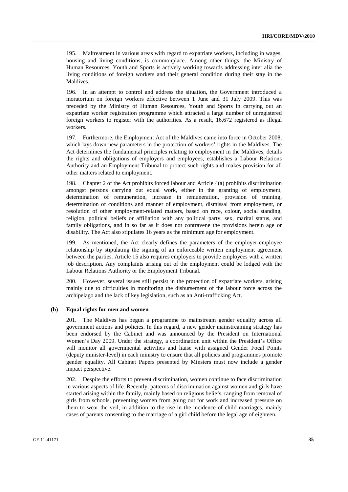195. Maltreatment in various areas with regard to expatriate workers, including in wages, housing and living conditions, is commonplace. Among other things, the Ministry of Human Resources, Youth and Sports is actively working towards addressing inter alia the living conditions of foreign workers and their general condition during their stay in the Maldives.

196. In an attempt to control and address the situation, the Government introduced a moratorium on foreign workers effective between 1 June and 31 July 2009. This was preceded by the Ministry of Human Resources, Youth and Sports in carrying out an expatriate worker registration programme which attracted a large number of unregistered foreign workers to register with the authorities. As a result, 16,672 registered as illegal workers.

197. Furthermore, the Employment Act of the Maldives came into force in October 2008, which lays down new parameters in the protection of workers' rights in the Maldives. The Act determines the fundamental principles relating to employment in the Maldives, details the rights and obligations of employers and employees, establishes a Labour Relations Authority and an Employment Tribunal to protect such rights and makes provision for all other matters related to employment.

198. Chapter 2 of the Act prohibits forced labour and Article 4(a) prohibits discrimination amongst persons carrying out equal work, either in the granting of employment, determination of remuneration, increase in remuneration, provision of training, determination of conditions and manner of employment, dismissal from employment, or resolution of other employment-related matters, based on race, colour, social standing, religion, political beliefs or affiliation with any political party, sex, marital status, and family obligations, and in so far as it does not contravene the provisions herein age or disability. The Act also stipulates 16 years as the minimum age for employment.

199. As mentioned, the Act clearly defines the parameters of the employer-employee relationship by stipulating the signing of an enforceable written employment agreement between the parties. Article 15 also requires employers to provide employees with a written job description. Any complaints arising out of the employment could be lodged with the Labour Relations Authority or the Employment Tribunal.

200. However, several issues still persist in the protection of expatriate workers, arising mainly due to difficulties in monitoring the disbursement of the labour force across the archipelago and the lack of key legislation, such as an Anti-trafficking Act.

#### **(b) Equal rights for men and women**

201. The Maldives has begun a programme to mainstream gender equality across all government actions and policies. In this regard, a new gender mainstreaming strategy has been endorsed by the Cabinet and was announced by the President on International Women's Day 2009. Under the strategy, a coordination unit within the President's Office will monitor all governmental activities and liaise with assigned Gender Focal Points (deputy minister-level) in each ministry to ensure that all policies and programmes promote gender equality. All Cabinet Papers presented by Minsters must now include a gender impact perspective.

202. Despite the efforts to prevent discrimination, women continue to face discrimination in various aspects of life. Recently, patterns of discrimination against women and girls have started arising within the family, mainly based on religious beliefs, ranging from removal of girls from schools, preventing women from going out for work and increased pressure on them to wear the veil, in addition to the rise in the incidence of child marriages, mainly cases of parents consenting to the marriage of a girl child before the legal age of eighteen.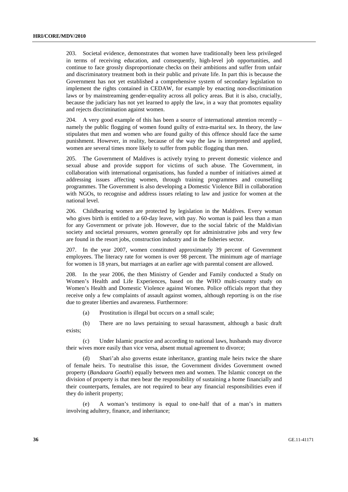203. Societal evidence, demonstrates that women have traditionally been less privileged in terms of receiving education, and consequently, high-level job opportunities, and continue to face grossly disproportionate checks on their ambitions and suffer from unfair and discriminatory treatment both in their public and private life. In part this is because the Government has not yet established a comprehensive system of secondary legislation to implement the rights contained in CEDAW, for example by enacting non-discrimination laws or by mainstreaming gender-equality across all policy areas. But it is also, crucially, because the judiciary has not yet learned to apply the law, in a way that promotes equality and rejects discrimination against women.

204. A very good example of this has been a source of international attention recently – namely the public flogging of women found guilty of extra-marital sex. In theory, the law stipulates that men and women who are found guilty of this offence should face the same punishment. However, in reality, because of the way the law is interpreted and applied, women are several times more likely to suffer from public flogging than men.

205. The Government of Maldives is actively trying to prevent domestic violence and sexual abuse and provide support for victims of such abuse. The Government, in collaboration with international organisations, has funded a number of initiatives aimed at addressing issues affecting women, through training programmes and counselling programmes. The Government is also developing a Domestic Violence Bill in collaboration with NGOs, to recognise and address issues relating to law and justice for women at the national level.

206. Childbearing women are protected by legislation in the Maldives. Every woman who gives birth is entitled to a 60-day leave, with pay. No woman is paid less than a man for any Government or private job. However, due to the social fabric of the Maldivian society and societal pressures, women generally opt for administrative jobs and very few are found in the resort jobs, construction industry and in the fisheries sector.

207. In the year 2007, women constituted approximately 39 percent of Government employees. The literacy rate for women is over 98 percent. The minimum age of marriage for women is 18 years, but marriages at an earlier age with parental consent are allowed.

208. In the year 2006, the then Ministry of Gender and Family conducted a Study on Women's Health and Life Experiences, based on the WHO multi-country study on Women's Health and Domestic Violence against Women. Police officials report that they receive only a few complaints of assault against women, although reporting is on the rise due to greater liberties and awareness. Furthermore:

(a) Prostitution is illegal but occurs on a small scale;

 (b) There are no laws pertaining to sexual harassment, although a basic draft exists;

 (c) Under Islamic practice and according to national laws, husbands may divorce their wives more easily than vice versa, absent mutual agreement to divorce;

 (d) Shari'ah also governs estate inheritance, granting male heirs twice the share of female heirs. To neutralise this issue, the Government divides Government owned property (*Bandaara Goathi*) equally between men and women. The Islamic concept on the division of property is that men bear the responsibility of sustaining a home financially and their counterparts, females, are not required to bear any financial responsibilities even if they do inherit property;

 (e) A woman's testimony is equal to one-half that of a man's in matters involving adultery, finance, and inheritance;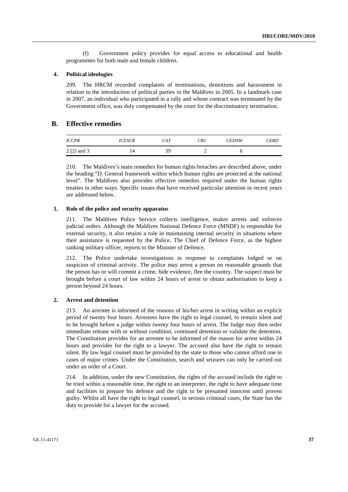(f) Government policy provides for equal access to educational and health programmes for both male and female children.

#### **4. Political ideologies**

209. The HRCM recorded complaints of terminations, demotions and harassment in relation to the introduction of political parties in the Maldives in 2005. In a landmark case in 2007, an individual who participated in a rally and whose contract was terminated by the Government office, was duly compensated by the court for the discriminatory termination.

## **B. Effective remedies**

| <b>ICCPR</b> | <i>ICESCR</i> | CAT | CRC | <b>CEDAW</b> | CERD |
|--------------|---------------|-----|-----|--------------|------|
| $2(2)$ and 3 | 14            | 39  | -   |              |      |

210. The Maldives's main remedies for human rights breaches are described above, under the heading "D. General framework within which human rights are protected at the national level". The Maldives also provides effective remedies required under the human rights treaties in other ways. Specific issues that have received particular attention in recent years are addressed below.

#### **1. Role of the police and security apparatus**

211. The Maldives Police Service collects intelligence, makes arrests and enforces judicial orders. Although the Maldives National Defence Force (MNDF) is responsible for external security, it also retains a role in maintaining internal security in situations where their assistance is requested by the Police. The Chief of Defence Force, as the highest ranking military officer, reports to the Minister of Defence.

212. The Police undertake investigations in response to complaints lodged or on suspicion of criminal activity. The police may arrest a person on reasonable grounds that the person has or will commit a crime, hide evidence, flee the country. The suspect must be brought before a court of law within 24 hours of arrest to obtain authorisation to keep a person beyond 24 hours.

## **2. Arrest and detention**

213. An arrestee is informed of the reasons of his/her arrest in writing within an explicit period of twenty four hours. Arrestees have the right to legal counsel, to remain silent and to be brought before a judge within twenty four hours of arrest. The Judge may then order immediate release with or without condition, continued detention or validate the detention. The Constitution provides for an arrestee to be informed of the reason for arrest within 24 hours and provides for the right to a lawyer. The accused also have the right to remain silent. By law legal counsel must be provided by the state to those who cannot afford one in cases of major crimes. Under the Constitution, search and seizures can only be carried out under an order of a Court.

214. In addition, under the new Constitution, the rights of the accused include the right to be tried within a reasonable time, the right to an interpreter, the right to have adequate time and facilities to prepare his defence and the right to be presumed innocent until proven guilty. Whilst all have the right to legal counsel, in serious criminal cases, the State has the duty to provide for a lawyer for the accused.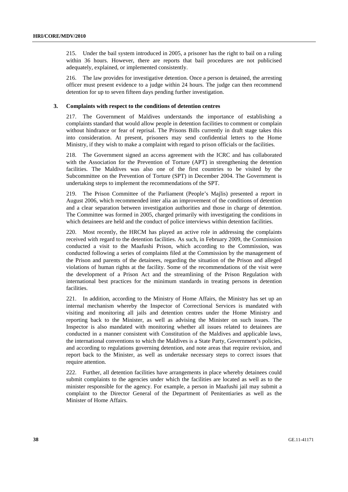215. Under the bail system introduced in 2005, a prisoner has the right to bail on a ruling within 36 hours. However, there are reports that bail procedures are not publicised adequately, explained, or implemented consistently.

216. The law provides for investigative detention. Once a person is detained, the arresting officer must present evidence to a judge within 24 hours. The judge can then recommend detention for up to seven fifteen days pending further investigation.

#### **3. Complaints with respect to the conditions of detention centres**

217. The Government of Maldives understands the importance of establishing a complaints standard that would allow people in detention facilities to comment or complain without hindrance or fear of reprisal. The Prisons Bills currently in draft stage takes this into consideration. At present, prisoners may send confidential letters to the Home Ministry, if they wish to make a complaint with regard to prison officials or the facilities.

218. The Government signed an access agreement with the ICRC and has collaborated with the Association for the Prevention of Torture (APT) in strengthening the detention facilities. The Maldives was also one of the first countries to be visited by the Subcommittee on the Prevention of Torture (SPT) in December 2004. The Government is undertaking steps to implement the recommendations of the SPT.

219. The Prison Committee of the Parliament (People's Majlis) presented a report in August 2006, which recommended inter alia an improvement of the conditions of detention and a clear separation between investigation authorities and those in charge of detention. The Committee was formed in 2005, charged primarily with investigating the conditions in which detainees are held and the conduct of police interviews within detention facilities.

220. Most recently, the HRCM has played an active role in addressing the complaints received with regard to the detention facilities. As such, in February 2009, the Commission conducted a visit to the Maafushi Prison, which according to the Commission, was conducted following a series of complaints filed at the Commission by the management of the Prison and parents of the detainees, regarding the situation of the Prison and alleged violations of human rights at the facility. Some of the recommendations of the visit were the development of a Prison Act and the streamlining of the Prison Regulation with international best practices for the minimum standards in treating persons in detention facilities.

221. In addition, according to the Ministry of Home Affairs, the Ministry has set up an internal mechanism whereby the Inspector of Correctional Services is mandated with visiting and monitoring all jails and detention centres under the Home Ministry and reporting back to the Minister, as well as advising the Minister on such issues. The Inspector is also mandated with monitoring whether all issues related to detainees are conducted in a manner consistent with Constitution of the Maldives and applicable laws, the international conventions to which the Maldives is a State Party, Government's policies, and according to regulations governing detention, and note areas that require revision, and report back to the Minister, as well as undertake necessary steps to correct issues that require attention.

222. Further, all detention facilities have arrangements in place whereby detainees could submit complaints to the agencies under which the facilities are located as well as to the minister responsible for the agency. For example, a person in Maafushi jail may submit a complaint to the Director General of the Department of Penitentiaries as well as the Minister of Home Affairs.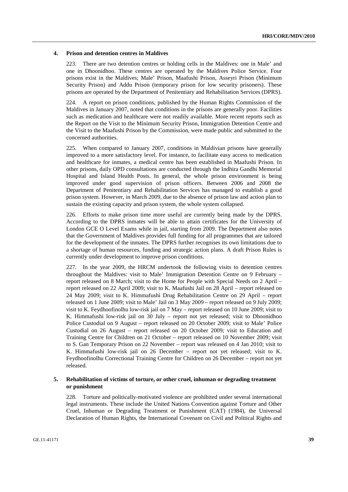#### **4. Prison and detention centres in Maldives**

223. There are two detention centres or holding cells in the Maldives: one in Male' and one in Dhoonidhoo. These centres are operated by the Maldives Police Service. Four prisons exist in the Maldives; Male' Prison, Maafushi Prison, Asseyri Prison (Minimum Security Prison) and Addu Prison (temporary prison for low security prisoners). These prisons are operated by the Department of Penitentiary and Rehabilitation Services (DPRS).

224. A report on prison conditions, published by the Human Rights Commission of the Maldives in January 2007, noted that conditions in the prisons are generally poor. Facilities such as medication and healthcare were not readily available. More recent reports such as the Report on the Visit to the Minimum Security Prison, Immigration Detention Centre and the Visit to the Maafushi Prison by the Commission, were made public and submitted to the concerned authorities.

225. When compared to January 2007, conditions in Maldivian prisons have generally improved to a more satisfactory level. For instance, to facilitate easy access to medication and healthcare for inmates, a medical centre has been established in Maafushi Prison. In other prisons, daily OPD consultations are conducted through the Indhira Gandhi Memorial Hospital and Island Health Posts. In general, the whole prison environment is being improved under good supervision of prison officers. Between 2006 and 2008 the Department of Penitentiary and Rehabilitation Services has managed to establish a good prison system. However, in March 2009, due to the absence of prison law and action plan to sustain the existing capacity and prison system, the whole system collapsed.

226. Efforts to make prison time more useful are currently being made by the DPRS. According to the DPRS inmates will be able to attain certificates for the University of London GCE O Level Exams while in jail, starting from 2009. The Department also notes that the Government of Maldives provides full funding for all programmes that are tailored for the development of the inmates. The DPRS further recognises its own limitations due to a shortage of human resources, funding and strategic action plans. A draft Prison Rules is currently under development to improve prison conditions.

227. In the year 2009, the HRCM undertook the following visits to detention centres throughout the Maldives: visit to Male' Immigration Detention Centre on 9 February – report released on 8 March; visit to the Home for People with Special Needs on 2 April – report released on 22 April 2009; visit to K. Maafushi Jail on 28 April – report released on 24 May 2009; visit to K. Himmafushi Drug Rehabilitation Centre on 29 April – report released on 1 June 2009; visit to Male' Jail on 3 May 2009 – report released on 9 July 2009; visit to K. Feydhoofinolhu low-risk jail on 7 May – report released on 10 June 2009; visit to K. Himmafushi low-risk jail on 30 July – report not yet released; visit to Dhoonidhoo Police Custodial on 9 August – report released on 20 October 2009; visit to Male' Police Custodial on 26 August – report released on 20 October 2009; visit to Education and Training Centre for Children on 21 October – report released on 10 November 2009; visit to S. Gan Temporary Prison on 22 November – report was released on 4 Jan 2010; visit to K. Himmafushi low-risk jail on 26 December – report not yet released; visit to K. Feydhoofinolhu Correctional Training Centre for Children on 26 December – report not yet released.

## **5. Rehabilitation of victims of torture, or other cruel, inhuman or degrading treatment or punishment**

228. Torture and politically-motivated violence are prohibited under several international legal instruments. These include the United Nations Convention against Torture and Other Cruel, Inhuman or Degrading Treatment or Punishment (CAT) (1984), the Universal Declaration of Human Rights, the International Covenant on Civil and Political Rights and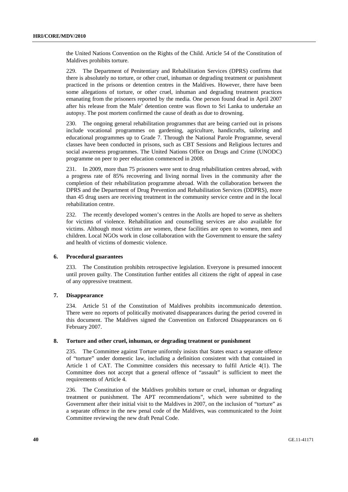the United Nations Convention on the Rights of the Child. Article 54 of the Constitution of Maldives prohibits torture.

229. The Department of Penitentiary and Rehabilitation Services (DPRS) confirms that there is absolutely no torture, or other cruel, inhuman or degrading treatment or punishment practiced in the prisons or detention centres in the Maldives. However, there have been some allegations of torture, or other cruel, inhuman and degrading treatment practices emanating from the prisoners reported by the media. One person found dead in April 2007 after his release from the Male' detention centre was flown to Sri Lanka to undertake an autopsy. The post mortem confirmed the cause of death as due to drowning.

230. The ongoing general rehabilitation programmes that are being carried out in prisons include vocational programmes on gardening, agriculture, handicrafts, tailoring and educational programmes up to Grade 7. Through the National Parole Programme, several classes have been conducted in prisons, such as CBT Sessions and Religious lectures and social awareness programmes. The United Nations Office on Drugs and Crime (UNODC) programme on peer to peer education commenced in 2008.

231. In 2009, more than 75 prisoners were sent to drug rehabilitation centres abroad, with a progress rate of 85% recovering and living normal lives in the community after the completion of their rehabilitation programme abroad. With the collaboration between the DPRS and the Department of Drug Prevention and Rehabilitation Services (DDPRS), more than 45 drug users are receiving treatment in the community service centre and in the local rehabilitation centre.

232. The recently developed women's centres in the Atolls are hoped to serve as shelters for victims of violence. Rehabilitation and counselling services are also available for victims. Although most victims are women, these facilities are open to women, men and children. Local NGOs work in close collaboration with the Government to ensure the safety and health of victims of domestic violence.

#### **6. Procedural guarantees**

233. The Constitution prohibits retrospective legislation. Everyone is presumed innocent until proven guilty. The Constitution further entitles all citizens the right of appeal in case of any oppressive treatment.

#### **7. Disappearance**

234. Article 51 of the Constitution of Maldives prohibits incommunicado detention. There were no reports of politically motivated disappearances during the period covered in this document. The Maldives signed the Convention on Enforced Disappearances on 6 February 2007.

#### **8. Torture and other cruel, inhuman, or degrading treatment or punishment**

235. The Committee against Torture uniformly insists that States enact a separate offence of "torture" under domestic law, including a definition consistent with that contained in Article 1 of CAT. The Committee considers this necessary to fulfil Article 4(1). The Committee does not accept that a general offence of "assault" is sufficient to meet the requirements of Article 4.

236. The Constitution of the Maldives prohibits torture or cruel, inhuman or degrading treatment or punishment. The APT recommendations", which were submitted to the Government after their initial visit to the Maldives in 2007, on the inclusion of "torture" as a separate offence in the new penal code of the Maldives, was communicated to the Joint Committee reviewing the new draft Penal Code.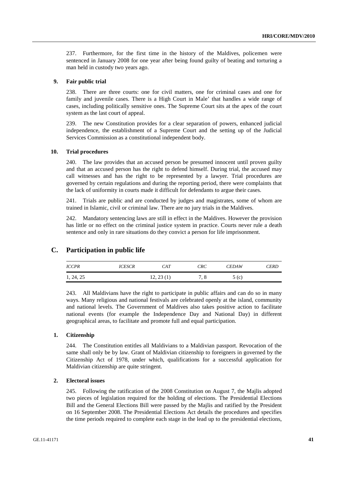237. Furthermore, for the first time in the history of the Maldives, policemen were sentenced in January 2008 for one year after being found guilty of beating and torturing a man held in custody two years ago.

#### **9. Fair public trial**

238. There are three courts: one for civil matters, one for criminal cases and one for family and juvenile cases. There is a High Court in Male' that handles a wide range of cases, including politically sensitive ones. The Supreme Court sits at the apex of the court system as the last court of appeal.

239. The new Constitution provides for a clear separation of powers, enhanced judicial independence, the establishment of a Supreme Court and the setting up of the Judicial Services Commission as a constitutional independent body.

#### **10. Trial procedures**

240. The law provides that an accused person be presumed innocent until proven guilty and that an accused person has the right to defend himself. During trial, the accused may call witnesses and has the right to be represented by a lawyer. Trial procedures are governed by certain regulations and during the reporting period, there were complaints that the lack of uniformity in courts made it difficult for defendants to argue their cases.

241. Trials are public and are conducted by judges and magistrates, some of whom are trained in Islamic, civil or criminal law. There are no jury trials in the Maldives.

242. Mandatory sentencing laws are still in effect in the Maldives. However the provision has little or no effect on the criminal justice system in practice. Courts never rule a death sentence and only in rare situations do they convict a person for life imprisonment.

## **C. Participation in public life**

| <b>ICCPR</b> | <i>ICESCR</i> | CAT       | <b>CRC</b> | <b>CEDAW</b> | <b>CERD</b> |
|--------------|---------------|-----------|------------|--------------|-------------|
| 1, 24, 25    |               | 12, 23(1) | 7.8        | 5(c)         |             |

243. All Maldivians have the right to participate in public affairs and can do so in many ways. Many religious and national festivals are celebrated openly at the island, community and national levels. The Government of Maldives also takes positive action to facilitate national events (for example the Independence Day and National Day) in different geographical areas, to facilitate and promote full and equal participation.

### **1. Citizenship**

244. The Constitution entitles all Maldivians to a Maldivian passport. Revocation of the same shall only be by law. Grant of Maldivian citizenship to foreigners in governed by the Citizenship Act of 1978, under which, qualifications for a successful application for Maldivian citizenship are quite stringent.

#### **2. Electoral issues**

245. Following the ratification of the 2008 Constitution on August 7, the Majlis adopted two pieces of legislation required for the holding of elections. The Presidential Elections Bill and the General Elections Bill were passed by the Majlis and ratified by the President on 16 September 2008. The Presidential Elections Act details the procedures and specifies the time periods required to complete each stage in the lead up to the presidential elections,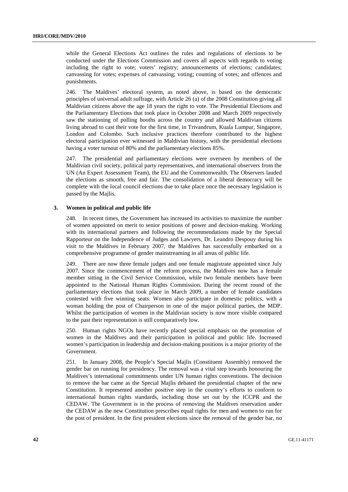while the General Elections Act outlines the rules and regulations of elections to be conducted under the Elections Commission and covers all aspects with regards to voting including the right to vote; voters' registry; announcements of elections; candidates; canvassing for votes; expenses of canvassing; voting; counting of votes; and offences and punishments.

246. The Maldives' electoral system, as noted above, is based on the democratic principles of universal adult suffrage, with Article 26 (a) of the 2008 Constitution giving all Maldivian citizens above the age 18 years the right to vote. The Presidential Elections and the Parliamentary Elections that took place in October 2008 and March 2009 respectively saw the stationing of polling booths across the country and allowed Maldivian citizens living abroad to cast their vote for the first time, in Trivandrum, Kuala Lumpur, Singapore, London and Colombo. Such inclusive practices therefore contributed to the highest electoral participation ever witnessed in Maldivian history, with the presidential elections having a voter turnout of 80% and the parliamentary elections 85%.

247. The presidential and parliamentary elections were overseen by members of the Maldivian civil society, political party representatives, and international observers from the UN (An Expert Assessment Team), the EU and the Commonwealth. The Observers lauded the elections as smooth, free and fair. The consolidation of a liberal democracy will be complete with the local council elections due to take place once the necessary legislation is passed by the Majlis.

#### **3. Women in political and public life**

248. In recent times, the Government has increased its activities to maximize the number of women appointed on merit to senior positions of power and decision-making. Working with its international partners and following the recommendations made by the Special Rapporteur on the Independence of Judges and Lawyers, Dr. Leandro Despouy during his visit to the Maldives in February 2007, the Maldives has successfully embarked on a comprehensive programme of gender mainstreaming in all areas of public life.

249. There are now three female judges and one female magistrate appointed since July 2007. Since the commencement of the reform process, the Maldives now has a female member sitting in the Civil Service Commission, while two female members have been appointed to the National Human Rights Commission. During the recent round of the parliamentary elections that took place in March 2009, a number of female candidates contested with five winning seats. Women also participate in domestic politics, with a woman holding the post of Chairperson in one of the major political parties, the MDP. Whilst the participation of women in the Maldivian society is now more visible compared to the past their representation is still comparatively low.

250. Human rights NGOs have recently placed special emphasis on the promotion of women in the Maldives and their participation in political and public life. Increased women's participation in leadership and decision-making positions is a major priority of the Government.

251. In January 2008, the People's Special Majlis (Constituent Assembly) removed the gender bar on running for presidency. The removal was a vital step towards honouring the Maldives's international commitments under UN human rights conventions. The decision to remove the bar came as the Special Majlis debated the presidential chapter of the new Constitution. It represented another positive step in the country's efforts to conform to international human rights standards, including those set out by the ICCPR and the CEDAW. The Government is in the process of removing the Maldives reservation under the CEDAW as the new Constitution prescribes equal rights for men and women to run for the post of president. In the first president elections since the removal of the gender bar, no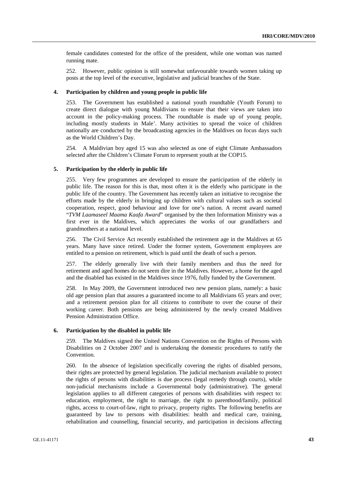female candidates contested for the office of the president, while one woman was named running mate.

252. However, public opinion is still somewhat unfavourable towards women taking up posts at the top level of the executive, legislative and judicial branches of the State.

#### **4. Participation by children and young people in public life**

253. The Government has established a national youth roundtable (Youth Forum) to create direct dialogue with young Maldivians to ensure that their views are taken into account in the policy-making process. The roundtable is made up of young people, including mostly students in Male'. Many activities to spread the voice of children nationally are conducted by the broadcasting agencies in the Maldives on focus days such as the World Children's Day.

254. A Maldivian boy aged 15 was also selected as one of eight Climate Ambassadors selected after the Children's Climate Forum to represent youth at the COP15.

#### **5. Participation by the elderly in public life**

255. Very few programmes are developed to ensure the participation of the elderly in public life. The reason for this is that, most often it is the elderly who participate in the public life of the country. The Government has recently taken an initiative to recognise the efforts made by the elderly in bringing up children with cultural values such as societal cooperation, respect, good behaviour and love for one's nation. A recent award named "*TVM Laamaseel Maama Kaafa Award*" organised by the then Information Ministry was a first ever in the Maldives, which appreciates the works of our grandfathers and grandmothers at a national level.

256. The Civil Service Act recently established the retirement age in the Maldives at 65 years. Many have since retired. Under the former system, Government employees are entitled to a pension on retirement, which is paid until the death of such a person.

257. The elderly generally live with their family members and thus the need for retirement and aged homes do not seem dire in the Maldives. However, a home for the aged and the disabled has existed in the Maldives since 1976, fully funded by the Government.

258. In May 2009, the Government introduced two new pension plans, namely: a basic old age pension plan that assures a guaranteed income to all Maldivians 65 years and over; and a retirement pension plan for all citizens to contribute to over the course of their working career. Both pensions are being administered by the newly created Maldives Pension Administration Office.

#### **6. Participation by the disabled in public life**

259. The Maldives signed the United Nations Convention on the Rights of Persons with Disabilities on 2 October 2007 and is undertaking the domestic procedures to ratify the Convention.

260. In the absence of legislation specifically covering the rights of disabled persons, their rights are protected by general legislation. The judicial mechanism available to protect the rights of persons with disabilities is due process (legal remedy through courts), while non-judicial mechanisms include a Governmental body (administrative). The general legislation applies to all different categories of persons with disabilities with respect to: education, employment, the right to marriage, the right to parenthood/family, political rights, access to court-of-law, right to privacy, property rights. The following benefits are guaranteed by law to persons with disabilities: health and medical care, training, rehabilitation and counselling, financial security, and participation in decisions affecting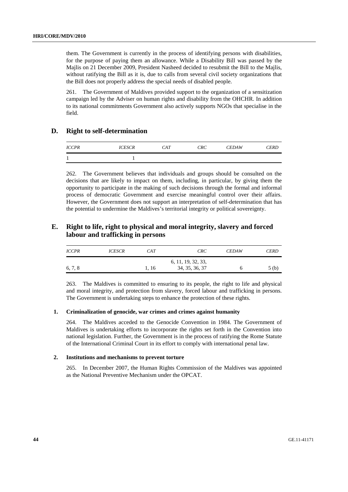them. The Government is currently in the process of identifying persons with disabilities, for the purpose of paying them an allowance. While a Disability Bill was passed by the Majlis on 21 December 2009, President Nasheed decided to resubmit the Bill to the Majlis, without ratifying the Bill as it is, due to calls from several civil society organizations that the Bill does not properly address the special needs of disabled people.

261. The Government of Maldives provided support to the organization of a sensitization campaign led by the Adviser on human rights and disability from the OHCHR. In addition to its national commitments Government also actively supports NGOs that specialise in the field.

## **D. Right to self-determination**

| <b>ICCPR</b> | <b>ICESCR</b> | CAT | <b>CRC</b> | <b>CEDAW</b> | <b>CERD</b> |
|--------------|---------------|-----|------------|--------------|-------------|
|              |               |     |            |              |             |

262. The Government believes that individuals and groups should be consulted on the decisions that are likely to impact on them, including, in particular, by giving them the opportunity to participate in the making of such decisions through the formal and informal process of democratic Government and exercise meaningful control over their affairs. However, the Government does not support an interpretation of self-determination that has the potential to undermine the Maldives's territorial integrity or political sovereignty.

## **E. Right to life, right to physical and moral integrity, slavery and forced labour and trafficking in persons**

| <b>ICCPR</b> | <b>ICESCR</b> | CAT   | <b>CRC</b>         | <b>CEDAW</b> | <b>CERD</b>      |
|--------------|---------------|-------|--------------------|--------------|------------------|
|              |               |       | 6, 11, 19, 32, 33, |              |                  |
| 6, 7, 8      |               | 1, 16 | 34, 35, 36, 37     |              | 5 <sub>(b)</sub> |

263. The Maldives is committed to ensuring to its people, the right to life and physical and moral integrity, and protection from slavery, forced labour and trafficking in persons. The Government is undertaking steps to enhance the protection of these rights.

#### **1. Criminalization of genocide, war crimes and crimes against humanity**

264. The Maldives acceded to the Genocide Convention in 1984. The Government of Maldives is undertaking efforts to incorporate the rights set forth in the Convention into national legislation. Further, the Government is in the process of ratifying the Rome Statute of the International Criminal Court in its effort to comply with international penal law.

#### **2. Institutions and mechanisms to prevent torture**

265. In December 2007, the Human Rights Commission of the Maldives was appointed as the National Preventive Mechanism under the OPCAT.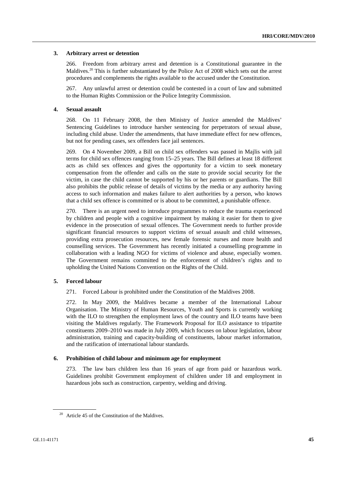#### **3. Arbitrary arrest or detention**

266. Freedom from arbitrary arrest and detention is a Constitutional guarantee in the Maldives.<sup>20</sup> This is further substantiated by the Police Act of 2008 which sets out the arrest procedures and complements the rights available to the accused under the Constitution.

267. Any unlawful arrest or detention could be contested in a court of law and submitted to the Human Rights Commission or the Police Integrity Commission.

#### **4. Sexual assault**

268. On 11 February 2008, the then Ministry of Justice amended the Maldives' Sentencing Guidelines to introduce harsher sentencing for perpetrators of sexual abuse, including child abuse. Under the amendments, that have immediate effect for new offences, but not for pending cases, sex offenders face jail sentences.

269. On 4 November 2009, a Bill on child sex offenders was passed in Majlis with jail terms for child sex offences ranging from 15–25 years. The Bill defines at least 18 different acts as child sex offences and gives the opportunity for a victim to seek monetary compensation from the offender and calls on the state to provide social security for the victim, in case the child cannot be supported by his or her parents or guardians. The Bill also prohibits the public release of details of victims by the media or any authority having access to such information and makes failure to alert authorities by a person, who knows that a child sex offence is committed or is about to be committed, a punishable offence.

270. There is an urgent need to introduce programmes to reduce the trauma experienced by children and people with a cognitive impairment by making it easier for them to give evidence in the prosecution of sexual offences. The Government needs to further provide significant financial resources to support victims of sexual assault and child witnesses, providing extra prosecution resources, new female forensic nurses and more health and counselling services. The Government has recently initiated a counselling programme in collaboration with a leading NGO for victims of violence and abuse, especially women. The Government remains committed to the enforcement of children's rights and to upholding the United Nations Convention on the Rights of the Child.

## **5. Forced labour**

271. Forced Labour is prohibited under the Constitution of the Maldives 2008.

272. In May 2009, the Maldives became a member of the International Labour Organisation. The Ministry of Human Resources, Youth and Sports is currently working with the ILO to strengthen the employment laws of the country and ILO teams have been visiting the Maldives regularly. The Framework Proposal for ILO assistance to tripartite constituents 2009–2010 was made in July 2009, which focuses on labour legislation, labour administration, training and capacity-building of constituents, labour market information, and the ratification of international labour standards.

#### **6. Prohibition of child labour and minimum age for employment**

273. The law bars children less than 16 years of age from paid or hazardous work. Guidelines prohibit Government employment of children under 18 and employment in hazardous jobs such as construction, carpentry, welding and driving.

 $20$  Article 45 of the Constitution of the Maldives.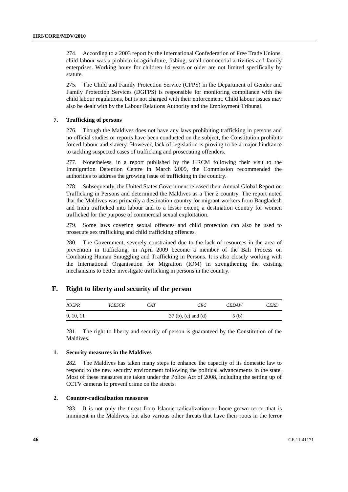274. According to a 2003 report by the International Confederation of Free Trade Unions, child labour was a problem in agriculture, fishing, small commercial activities and family enterprises. Working hours for children 14 years or older are not limited specifically by statute.

275. The Child and Family Protection Service (CFPS) in the Department of Gender and Family Protection Services (DGFPS) is responsible for monitoring compliance with the child labour regulations, but is not charged with their enforcement. Child labour issues may also be dealt with by the Labour Relations Authority and the Employment Tribunal.

## **7. Trafficking of persons**

276. Though the Maldives does not have any laws prohibiting trafficking in persons and no official studies or reports have been conducted on the subject, the Constitution prohibits forced labour and slavery. However, lack of legislation is proving to be a major hindrance to tackling suspected cases of trafficking and prosecuting offenders.

277. Nonetheless, in a report published by the HRCM following their visit to the Immigration Detention Centre in March 2009, the Commission recommended the authorities to address the growing issue of trafficking in the country.

278. Subsequently, the United States Government released their Annual Global Report on Trafficking in Persons and determined the Maldives as a Tier 2 country. The report noted that the Maldives was primarily a destination country for migrant workers from Bangladesh and India trafficked into labour and to a lesser extent, a destination country for women trafficked for the purpose of commercial sexual exploitation.

279. Some laws covering sexual offences and child protection can also be used to prosecute sex trafficking and child trafficking offences.

280. The Government, severely constrained due to the lack of resources in the area of prevention in trafficking, in April 2009 become a member of the Bali Process on Combating Human Smuggling and Trafficking in Persons. It is also closely working with the International Organisation for Migration (IOM) in strengthening the existing mechanisms to better investigate trafficking in persons in the country.

## **F. Right to liberty and security of the person**

| <i>ICCPR</i> | <i>ICESCR</i> | CAT | <b>CRC</b>            | <b>CEDAW</b> | CERD |
|--------------|---------------|-----|-----------------------|--------------|------|
| 9, 10, 11    |               |     | $37$ (b), (c) and (d) | 5(b)         |      |

281. The right to liberty and security of person is guaranteed by the Constitution of the Maldives.

#### **1. Security measures in the Maldives**

282. The Maldives has taken many steps to enhance the capacity of its domestic law to respond to the new security environment following the political advancements in the state. Most of these measures are taken under the Police Act of 2008, including the setting up of CCTV cameras to prevent crime on the streets.

#### **2. Counter-radicalization measures**

283. It is not only the threat from Islamic radicalization or home-grown terror that is imminent in the Maldives, but also various other threats that have their roots in the terror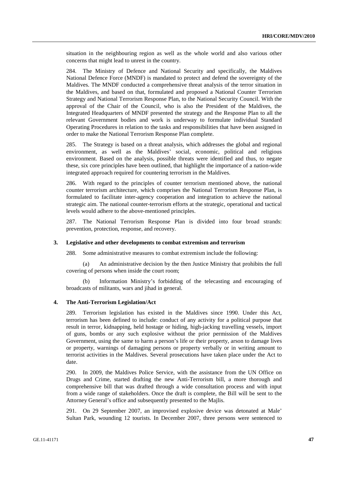situation in the neighbouring region as well as the whole world and also various other concerns that might lead to unrest in the country.

284. The Ministry of Defence and National Security and specifically, the Maldives National Defence Force (MNDF) is mandated to protect and defend the sovereignty of the Maldives. The MNDF conducted a comprehensive threat analysis of the terror situation in the Maldives, and based on that, formulated and proposed a National Counter Terrorism Strategy and National Terrorism Response Plan, to the National Security Council. With the approval of the Chair of the Council, who is also the President of the Maldives, the Integrated Headquarters of MNDF presented the strategy and the Response Plan to all the relevant Government bodies and work is underway to formulate individual Standard Operating Procedures in relation to the tasks and responsibilities that have been assigned in order to make the National Terrorism Response Plan complete.

285. The Strategy is based on a threat analysis, which addresses the global and regional environment, as well as the Maldives' social, economic, political and religious environment. Based on the analysis, possible threats were identified and thus, to negate these, six core principles have been outlined, that highlight the importance of a nation-wide integrated approach required for countering terrorism in the Maldives.

286. With regard to the principles of counter terrorism mentioned above, the national counter terrorism architecture, which comprises the National Terrorism Response Plan, is formulated to facilitate inter-agency cooperation and integration to achieve the national strategic aim. The national counter-terrorism efforts at the strategic, operational and tactical levels would adhere to the above-mentioned principles.

287. The National Terrorism Response Plan is divided into four broad strands: prevention, protection, response, and recovery.

#### **3. Legislative and other developments to combat extremism and terrorism**

288. Some administrative measures to combat extremism include the following:

 (a) An administrative decision by the then Justice Ministry that prohibits the full covering of persons when inside the court room;

 (b) Information Ministry's forbidding of the telecasting and encouraging of broadcasts of militants, wars and jihad in general.

#### **4. The Anti-Terrorism Legislation/Act**

289. Terrorism legislation has existed in the Maldives since 1990. Under this Act, terrorism has been defined to include: conduct of any activity for a political purpose that result in terror, kidnapping, held hostage or hiding, high-jacking travelling vessels, import of guns, bombs or any such explosive without the prior permission of the Maldives Government, using the same to harm a person's life or their property, arson to damage lives or property, warnings of damaging persons or property verbally or in writing amount to terrorist activities in the Maldives. Several prosecutions have taken place under the Act to date.

290. In 2009, the Maldives Police Service, with the assistance from the UN Office on Drugs and Crime, started drafting the new Anti-Terrorism bill, a more thorough and comprehensive bill that was drafted through a wide consultation process and with input from a wide range of stakeholders. Once the draft is complete, the Bill will be sent to the Attorney General's office and subsequently presented to the Majlis.

291. On 29 September 2007, an improvised explosive device was detonated at Male' Sultan Park, wounding 12 tourists. In December 2007, three persons were sentenced to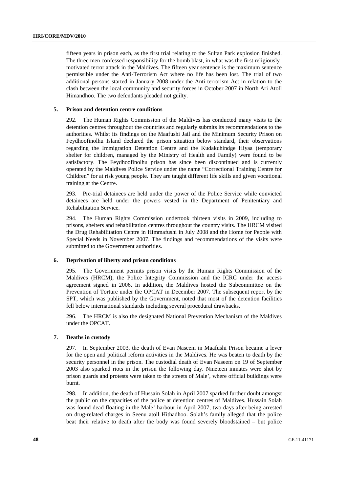fifteen years in prison each, as the first trial relating to the Sultan Park explosion finished. The three men confessed responsibility for the bomb blast, in what was the first religiouslymotivated terror attack in the Maldives. The fifteen year sentence is the maximum sentence permissible under the Anti-Terrorism Act where no life has been lost. The trial of two additional persons started in January 2008 under the Anti-terrorism Act in relation to the clash between the local community and security forces in October 2007 in North Ari Atoll Himandhoo. The two defendants pleaded not guilty.

#### **5. Prison and detention centre conditions**

292. The Human Rights Commission of the Maldives has conducted many visits to the detention centres throughout the countries and regularly submits its recommendations to the authorities. Whilst its findings on the Maafushi Jail and the Minimum Security Prison on Feydhoofinolhu Island declared the prison situation below standard, their observations regarding the Immigration Detention Centre and the Kudakuhindge Hiyaa (temporary shelter for children, managed by the Ministry of Health and Family) were found to be satisfactory. The Feydhoofinolhu prison has since been discontinued and is currently operated by the Maldives Police Service under the name "Correctional Training Centre for Children" for at risk young people. They are taught different life skills and given vocational training at the Centre.

293. Pre-trial detainees are held under the power of the Police Service while convicted detainees are held under the powers vested in the Department of Penitentiary and Rehabilitation Service.

294. The Human Rights Commission undertook thirteen visits in 2009, including to prisons, shelters and rehabilitation centres throughout the country visits. The HRCM visited the Drug Rehabilitation Centre in Himmafushi in July 2008 and the Home for People with Special Needs in November 2007. The findings and recommendations of the visits were submitted to the Government authorities.

#### **6. Deprivation of liberty and prison conditions**

295. The Government permits prison visits by the Human Rights Commission of the Maldives (HRCM), the Police Integrity Commission and the ICRC under the access agreement signed in 2006. In addition, the Maldives hosted the Subcommittee on the Prevention of Torture under the OPCAT in December 2007. The subsequent report by the SPT, which was published by the Government, noted that most of the detention facilities fell below international standards including several procedural drawbacks.

296. The HRCM is also the designated National Prevention Mechanism of the Maldives under the OPCAT.

#### **7. Deaths in custody**

297. In September 2003, the death of Evan Naseem in Maafushi Prison became a lever for the open and political reform activities in the Maldives. He was beaten to death by the security personnel in the prison. The custodial death of Evan Naseem on 19 of September 2003 also sparked riots in the prison the following day. Nineteen inmates were shot by prison guards and protests were taken to the streets of Male', where official buildings were burnt.

298. In addition, the death of Hussain Solah in April 2007 sparked further doubt amongst the public on the capacities of the police at detention centres of Maldives. Hussain Solah was found dead floating in the Male' harbour in April 2007, two days after being arrested on drug-related charges in Seenu atoll Hithadhoo. Solah's family alleged that the police beat their relative to death after the body was found severely bloodstained – but police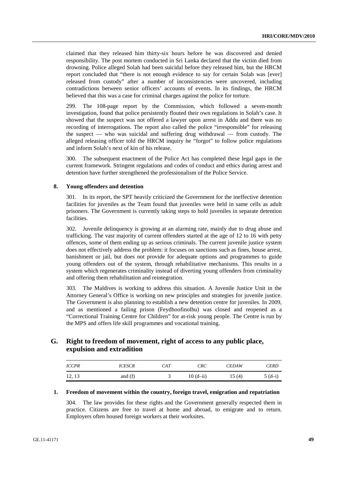claimed that they released him thirty-six hours before he was discovered and denied responsibility. The post mortem conducted in Sri Lanka declared that the victim died from drowning. Police alleged Solah had been suicidal before they released him, but the HRCM report concluded that "there is not enough evidence to say for certain Solah was [ever] released from custody" after a number of inconsistencies were uncovered, including contradictions between senior officers' accounts of events. In its findings, the HRCM believed that this was a case for criminal charges against the police for torture.

299. The 108-page report by the Commission, which followed a seven-month investigation, found that police persistently flouted their own regulations in Solah's case. It showed that the suspect was not offered a lawyer upon arrest in Addu and there was no recording of interrogations. The report also called the police "irresponsible" for releasing the suspect — who was suicidal and suffering drug withdrawal — from custody. The alleged releasing officer told the HRCM inquiry he "forgot" to follow police regulations and inform Solah's next of kin of his release.

300. The subsequent enactment of the Police Act has completed these legal gaps in the current framework. Stringent regulations and codes of conduct and ethics during arrest and detention have further strengthened the professionalism of the Police Service.

#### **8. Young offenders and detention**

301. In its report, the SPT heavily criticized the Government for the ineffective detention facilities for juveniles as the Team found that juveniles were held in same cells as adult prisoners. The Government is currently taking steps to hold juveniles in separate detention facilities.

302. Juvenile delinquency is growing at an alarming rate, mainly due to drug abuse and trafficking. The vast majority of current offenders started at the age of 12 to 16 with petty offences, some of them ending up as serious criminals. The current juvenile justice system does not effectively address the problem: it focuses on sanctions such as fines, house arrest, banishment or jail, but does not provide for adequate options and programmes to guide young offenders out of the system, through rehabilitative mechanisms. This results in a system which regenerates criminality instead of diverting young offenders from criminality and offering them rehabilitation and reintegration.

303. The Maldives is working to address this situation. A Juvenile Justice Unit in the Attorney General's Office is working on new principles and strategies for juvenile justice. The Government is also planning to establish a new detention centre for juveniles. In 2009, and as mentioned a failing prison (Feydhoofinolhu) was closed and reopened as a "Correctional Training Centre for Children" for at-risk young people. The Centre is run by the MPS and offers life skill programmes and vocational training.

## **G. Right to freedom of movement, right of access to any public place, expulsion and extradition**

| <b>ICCPR</b> | <i>ICESCR</i> | CAT | <b>CRC</b>   | <b>CEDAW</b> | <i>CERD</i> |
|--------------|---------------|-----|--------------|--------------|-------------|
| 12, 13       | and $(f)$     |     | $10(d - ii)$ | 15(4)        | $5(d-i)$    |

#### **1. Freedom of movement within the country, foreign travel, emigration and repatriation**

304. The law provides for these rights and the Government generally respected them in practice. Citizens are free to travel at home and abroad, to emigrate and to return. Employers often housed foreign workers at their worksites.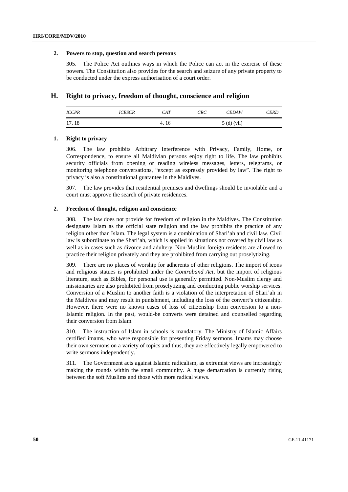#### **2. Powers to stop, question and search persons**

305. The Police Act outlines ways in which the Police can act in the exercise of these powers. The Constitution also provides for the search and seizure of any private property to be conducted under the express authorisation of a court order.

## **H. Right to privacy, freedom of thought, conscience and religion**

| <i>ICCPR</i> | <i>ICESCR</i> | CAT   | <b>CRC</b> | <b>CEDAW</b> | <b>CERD</b> |
|--------------|---------------|-------|------------|--------------|-------------|
| 17, 18       |               | 4, 16 |            | $5(d)$ (vii) |             |

### **1. Right to privacy**

306. The law prohibits Arbitrary Interference with Privacy, Family, Home, or Correspondence, to ensure all Maldivian persons enjoy right to life. The law prohibits security officials from opening or reading wireless messages, letters, telegrams, or monitoring telephone conversations, "except as expressly provided by law". The right to privacy is also a constitutional guarantee in the Maldives.

307. The law provides that residential premises and dwellings should be inviolable and a court must approve the search of private residences.

## **2. Freedom of thought, religion and conscience**

308. The law does not provide for freedom of religion in the Maldives. The Constitution designates Islam as the official state religion and the law prohibits the practice of any religion other than Islam. The legal system is a combination of Shari'ah and civil law. Civil law is subordinate to the Shari'ah, which is applied in situations not covered by civil law as well as in cases such as divorce and adultery. Non-Muslim foreign residents are allowed to practice their religion privately and they are prohibited from carrying out proselytizing.

309. There are no places of worship for adherents of other religions. The import of icons and religious statues is prohibited under the *Contraband Act*, but the import of religious literature, such as Bibles, for personal use is generally permitted. Non-Muslim clergy and missionaries are also prohibited from proselytizing and conducting public worship services. Conversion of a Muslim to another faith is a violation of the interpretation of Shari'ah in the Maldives and may result in punishment, including the loss of the convert's citizenship. However, there were no known cases of loss of citizenship from conversion to a non-Islamic religion. In the past, would-be converts were detained and counselled regarding their conversion from Islam.

310. The instruction of Islam in schools is mandatory. The Ministry of Islamic Affairs certified imams, who were responsible for presenting Friday sermons. Imams may choose their own sermons on a variety of topics and thus, they are effectively legally empowered to write sermons independently.

311. The Government acts against Islamic radicalism, as extremist views are increasingly making the rounds within the small community. A huge demarcation is currently rising between the soft Muslims and those with more radical views.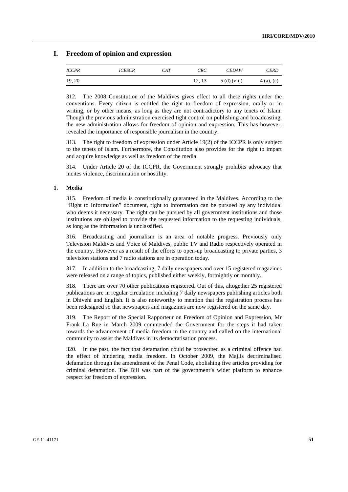## **I. Freedom of opinion and expression**

| <i>ICCPR</i> | <i>ICESCR</i> | CAT | <b>CRC</b> | <b>CEDAW</b>  | <i>CERD</i>  |
|--------------|---------------|-----|------------|---------------|--------------|
| 19, 20       |               |     | 12, 13     | $5(d)$ (viii) | $4(a)$ , (c) |

312. The 2008 Constitution of the Maldives gives effect to all these rights under the conventions. Every citizen is entitled the right to freedom of expression, orally or in writing, or by other means, as long as they are not contradictory to any tenets of Islam. Though the previous administration exercised tight control on publishing and broadcasting, the new administration allows for freedom of opinion and expression. This has however, revealed the importance of responsible journalism in the country.

313. The right to freedom of expression under Article 19(2) of the ICCPR is only subject to the tenets of Islam. Furthermore, the Constitution also provides for the right to impart and acquire knowledge as well as freedom of the media.

314. Under Article 20 of the ICCPR, the Government strongly prohibits advocacy that incites violence, discrimination or hostility.

#### **1. Media**

315. Freedom of media is constitutionally guaranteed in the Maldives. According to the "Right to Information" document, right to information can be pursued by any individual who deems it necessary. The right can be pursued by all government institutions and those institutions are obliged to provide the requested information to the requesting individuals, as long as the information is unclassified.

316. Broadcasting and journalism is an area of notable progress. Previously only Television Maldives and Voice of Maldives, public TV and Radio respectively operated in the country. However as a result of the efforts to open-up broadcasting to private parties, 3 television stations and 7 radio stations are in operation today.

317. In addition to the broadcasting, 7 daily newspapers and over 15 registered magazines were released on a range of topics, published either weekly, fortnightly or monthly.

318. There are over 70 other publications registered. Out of this, altogether 25 registered publications are in regular circulation including 7 daily newspapers publishing articles both in Dhivehi and English. It is also noteworthy to mention that the registration process has been redesigned so that newspapers and magazines are now registered on the same day.

319. The Report of the Special Rapporteur on Freedom of Opinion and Expression, Mr Frank La Rue in March 2009 commended the Government for the steps it had taken towards the advancement of media freedom in the country and called on the international community to assist the Maldives in its democratisation process.

320. In the past, the fact that defamation could be prosecuted as a criminal offence had the effect of hindering media freedom. In October 2009, the Majlis decriminalised defamation through the amendment of the Penal Code, abolishing five articles providing for criminal defamation. The Bill was part of the government's wider platform to enhance respect for freedom of expression.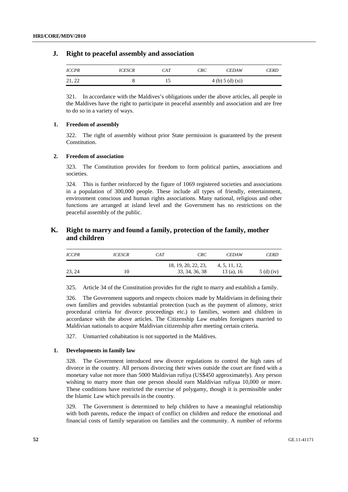## **J. Right to peaceful assembly and association**

| <b>ICCPR</b> | <i>ICESCR</i> | CAT | <b>CRC</b> | <b>CEDAW</b>   | <i>CERD</i> |
|--------------|---------------|-----|------------|----------------|-------------|
| 21, 22       |               | 15  |            | 4(b) 5(d) (xi) |             |

321. In accordance with the Maldives's obligations under the above articles, all people in the Maldives have the right to participate in peaceful assembly and association and are free to do so in a variety of ways.

## **1. Freedom of assembly**

322. The right of assembly without prior State permission is guaranteed by the present Constitution.

#### **2. Freedom of association**

323. The Constitution provides for freedom to form political parties, associations and societies.

324. This is further reinforced by the figure of 1069 registered societies and associations in a population of 300,000 people. These include all types of friendly, entertainment, environment conscious and human rights associations. Many national, religious and other functions are arranged at island level and the Government has no restrictions on the peaceful assembly of the public.

## **K. Right to marry and found a family, protection of the family, mother and children**

| <i>ICCPR</i> | <i>ICESCR</i> | CAT | CRC                 | <b>CEDAW</b>  | <b>CERD</b> |
|--------------|---------------|-----|---------------------|---------------|-------------|
|              |               |     | 18, 19, 20, 22, 23, | 4, 5, 11, 12, |             |
| 23, 24       |               |     | 33, 34, 36, 38      | 13 (a), $16$  | $5(d)$ (iv) |

325. Article 34 of the Constitution provides for the right to marry and establish a family.

326. The Government supports and respects choices made by Maldivians in defining their own families and provides substantial protection (such as the payment of alimony, strict procedural criteria for divorce proceedings etc.) to families, women and children in accordance with the above articles. The Citizenship Law enables foreigners married to Maldivian nationals to acquire Maldivian citizenship after meeting certain criteria.

327. Unmarried cohabitation is not supported in the Maldives.

#### **1. Developments in family law**

328. The Government introduced new divorce regulations to control the high rates of divorce in the country. All persons divorcing their wives outside the court are fined with a monetary value not more than 5000 Maldivian rufiya (US\$450 approximately). Any person wishing to marry more than one person should earn Maldivian rufiyaa 10,000 or more. These conditions have restricted the exercise of polygamy, though it is permissible under the Islamic Law which prevails in the country.

329. The Government is determined to help children to have a meaningful relationship with both parents, reduce the impact of conflict on children and reduce the emotional and financial costs of family separation on families and the community. A number of reforms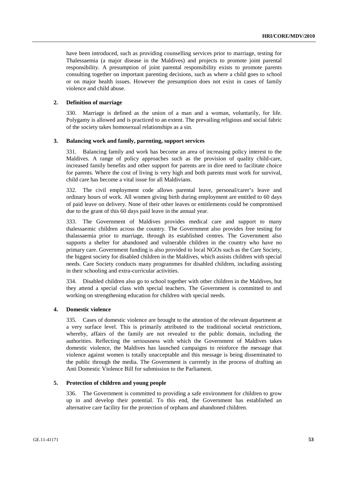have been introduced, such as providing counselling services prior to marriage, testing for Thalessaemia (a major disease in the Maldives) and projects to promote joint parental responsibility. A presumption of joint parental responsibility exists to promote parents consulting together on important parenting decisions, such as where a child goes to school or on major health issues. However the presumption does not exist in cases of family violence and child abuse.

## **2. Definition of marriage**

330. Marriage is defined as the union of a man and a woman, voluntarily, for life. Polygamy is allowed and is practiced to an extent. The prevailing religious and social fabric of the society takes homosexual relationships as a sin.

#### **3. Balancing work and family, parenting, support services**

331. Balancing family and work has become an area of increasing policy interest to the Maldives. A range of policy approaches such as the provision of quality child-care, increased family benefits and other support for parents are in dire need to facilitate choice for parents. Where the cost of living is very high and both parents must work for survival, child care has become a vital issue for all Maldivians.

332. The civil employment code allows parental leave, personal/carer's leave and ordinary hours of work. All women giving birth during employment are entitled to 60 days of paid leave on delivery. None of their other leaves or entitlements could be compromised due to the grant of this 60 days paid leave in the annual year.

333. The Government of Maldives provides medical care and support to many thalessaemic children across the country. The Government also provides free testing for thalassaemia prior to marriage, through its established centres. The Government also supports a shelter for abandoned and vulnerable children in the country who have no primary care. Government funding is also provided to local NGOs such as the Care Society, the biggest society for disabled children in the Maldives, which assists children with special needs. Care Society conducts many programmes for disabled children, including assisting in their schooling and extra-curricular activities.

334. Disabled children also go to school together with other children in the Maldives, but they attend a special class with special teachers. The Government is committed to and working on strengthening education for children with special needs.

#### **4. Domestic violence**

335. Cases of domestic violence are brought to the attention of the relevant department at a very surface level. This is primarily attributed to the traditional societal restrictions, whereby, affairs of the family are not revealed to the public domain, including the authorities. Reflecting the seriousness with which the Government of Maldives takes domestic violence, the Maldives has launched campaigns to reinforce the message that violence against women is totally unacceptable and this message is being disseminated to the public through the media. The Government is currently in the process of drafting an Anti Domestic Violence Bill for submission to the Parliament.

#### **5. Protection of children and young people**

336. The Government is committed to providing a safe environment for children to grow up in and develop their potential. To this end, the Government has established an alternative care facility for the protection of orphans and abandoned children.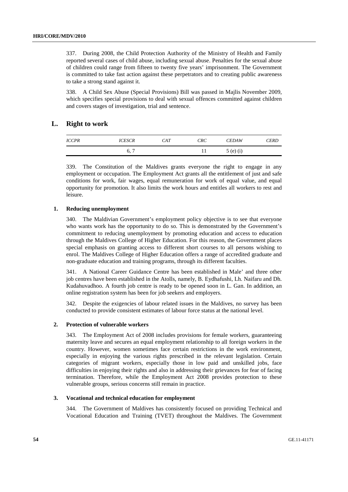337. During 2008, the Child Protection Authority of the Ministry of Health and Family reported several cases of child abuse, including sexual abuse. Penalties for the sexual abuse of children could range from fifteen to twenty five years' imprisonment. The Government is committed to take fast action against these perpetrators and to creating public awareness to take a strong stand against it.

338. A Child Sex Abuse (Special Provisions) Bill was passed in Majlis November 2009, which specifies special provisions to deal with sexual offences committed against children and covers stages of investigation, trial and sentence.

## **L. Right to work**

| <b>ICCPR</b> | <i>ICESCR</i>        | <b>CAT</b> | <b>CRC</b> | <b>CEDAW</b> | <b>CERD</b> |
|--------------|----------------------|------------|------------|--------------|-------------|
|              | $\overline{ }$<br>6, |            |            | $5(e)$ (i)   |             |

339. The Constitution of the Maldives grants everyone the right to engage in any employment or occupation. The Employment Act grants all the entitlement of just and safe conditions for work, fair wages, equal remuneration for work of equal value, and equal opportunity for promotion. It also limits the work hours and entitles all workers to rest and leisure.

#### **1. Reducing unemployment**

340. The Maldivian Government's employment policy objective is to see that everyone who wants work has the opportunity to do so. This is demonstrated by the Government's commitment to reducing unemployment by promoting education and access to education through the Maldives College of Higher Education. For this reason, the Government places special emphasis on granting access to different short courses to all persons wishing to enrol. The Maldives College of Higher Education offers a range of accredited graduate and non-graduate education and training programs, through its different faculties.

341. A National Career Guidance Centre has been established in Male' and three other job centres have been established in the Atolls, namely, B. Eydhafushi, Lh. Naifaru and Dh. Kudahuvadhoo. A fourth job centre is ready to be opened soon in L. Gan. In addition, an online registration system has been for job seekers and employers.

342. Despite the exigencies of labour related issues in the Maldives, no survey has been conducted to provide consistent estimates of labour force status at the national level.

#### **2. Protection of vulnerable workers**

343. The Employment Act of 2008 includes provisions for female workers, guaranteeing maternity leave and secures an equal employment relationship to all foreign workers in the country. However, women sometimes face certain restrictions in the work environment, especially in enjoying the various rights prescribed in the relevant legislation. Certain categories of migrant workers, especially those in low paid and unskilled jobs, face difficulties in enjoying their rights and also in addressing their grievances for fear of facing termination. Therefore, while the Employment Act 2008 provides protection to these vulnerable groups, serious concerns still remain in practice.

#### **3. Vocational and technical education for employment**

344. The Government of Maldives has consistently focused on providing Technical and Vocational Education and Training (TVET) throughout the Maldives. The Government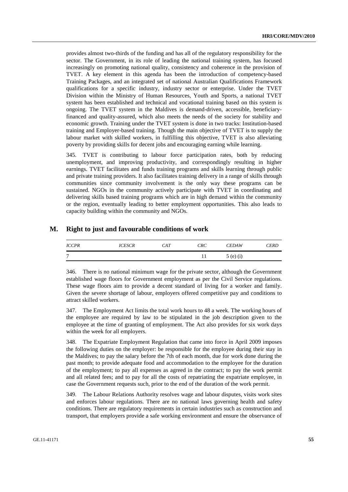provides almost two-thirds of the funding and has all of the regulatory responsibility for the sector. The Government, in its role of leading the national training system, has focused increasingly on promoting national quality, consistency and coherence in the provision of TVET. A key element in this agenda has been the introduction of competency-based Training Packages, and an integrated set of national Australian Qualifications Framework qualifications for a specific industry, industry sector or enterprise. Under the TVET Division within the Ministry of Human Resources, Youth and Sports, a national TVET system has been established and technical and vocational training based on this system is ongoing. The TVET system in the Maldives is demand-driven, accessible, beneficiaryfinanced and quality-assured, which also meets the needs of the society for stability and economic growth. Training under the TVET system is done in two tracks: Institution-based training and Employer-based training. Though the main objective of TVET is to supply the labour market with skilled workers, in fulfilling this objective, TVET is also alleviating poverty by providing skills for decent jobs and encouraging earning while learning.

345. TVET is contributing to labour force participation rates, both by reducing unemployment, and improving productivity, and correspondingly resulting in higher earnings. TVET facilitates and funds training programs and skills learning through public and private training providers. It also facilitates training delivery in a range of skills through communities since community involvement is the only way these programs can be sustained. NGOs in the community actively participate with TVET in coordinating and delivering skills based training programs which are in high demand within the community or the region, eventually leading to better employment opportunities. This also leads to capacity building within the community and NGOs.

## **M. Right to just and favourable conditions of work**

| <b>ICCPR</b>   | <i>ICESCR</i> | CAT | <b>CRC</b> | <b>CEDAW</b> | <i>CERD</i> |
|----------------|---------------|-----|------------|--------------|-------------|
| $\overline{ }$ |               |     |            | $5(e)$ (i)   |             |

346. There is no national minimum wage for the private sector, although the Government established wage floors for Government employment as per the Civil Service regulations. These wage floors aim to provide a decent standard of living for a worker and family. Given the severe shortage of labour, employers offered competitive pay and conditions to attract skilled workers.

347. The Employment Act limits the total work hours to 48 a week. The working hours of the employee are required by law to be stipulated in the job description given to the employee at the time of granting of employment. The Act also provides for six work days within the week for all employers.

348. The Expatriate Employment Regulation that came into force in April 2009 imposes the following duties on the employer: be responsible for the employee during their stay in the Maldives; to pay the salary before the 7th of each month, due for work done during the past month; to provide adequate food and accommodation to the employee for the duration of the employment; to pay all expenses as agreed in the contract; to pay the work permit and all related fees; and to pay for all the costs of repatriating the expatriate employee, in case the Government requests such, prior to the end of the duration of the work permit.

349. The Labour Relations Authority resolves wage and labour disputes, visits work sites and enforces labour regulations. There are no national laws governing health and safety conditions. There are regulatory requirements in certain industries such as construction and transport, that employers provide a safe working environment and ensure the observance of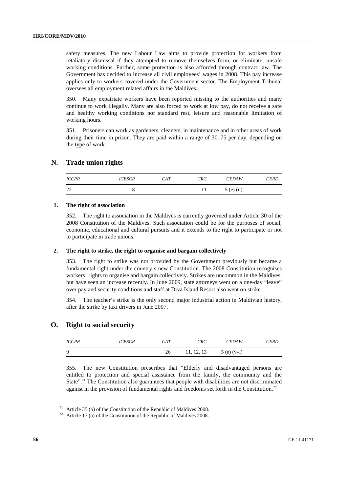safety measures. The new Labour Law aims to provide protection for workers from retaliatory dismissal if they attempted to remove themselves from, or eliminate, unsafe working conditions. Further, some protection is also afforded through contract law. The Government has decided to increase all civil employees' wages in 2008. This pay increase applies only to workers covered under the Government sector. The Employment Tribunal oversees all employment related affairs in the Maldives.

350. Many expatriate workers have been reported missing to the authorities and many continue to work illegally. Many are also forced to work at low pay, do not receive a safe and healthy working conditions nor standard rest, leisure and reasonable limitation of working hours.

351. Prisoners can work as gardeners, cleaners, in maintenance and in other areas of work during their time in prison. They are paid within a range of 30–75 per day, depending on the type of work.

## **N. Trade union rights**

| <b>ICCPR</b> | <i>ICESCR</i> | CAT | <b>CRC</b> | <b>CEDAW</b> | CERD |
|--------------|---------------|-----|------------|--------------|------|
| ാ<br>∠∠      |               |     |            | $5(e)$ (ii)  |      |

#### **1. The right of association**

352. The right to association in the Maldives is currently governed under Article 30 of the 2008 Constitution of the Maldives. Such association could be for the purposes of social, economic, educational and cultural pursuits and it extends to the right to participate or not to participate in trade unions.

#### **2. The right to strike, the right to organise and bargain collectively**

353. The right to strike was not provided by the Government previously but became a fundamental right under the country's new Constitution. The 2008 Constitution recognises workers' rights to organise and bargain collectively. Strikes are uncommon in the Maldives, but have seen an increase recently. In June 2009, state attorneys went on a one-day "leave" over pay and security conditions and staff at Diva Island Resort also went on strike.

354. The teacher's strike is the only second major industrial action in Maldivian history, after the strike by taxi drivers in June 2007.

## **O. Right to social security**

| <i>ICCPR</i> | <i>ICESCR</i> | <b>CAT</b> | <b>CRC</b> | <b>CEDAW</b> | <b>CERD</b> |
|--------------|---------------|------------|------------|--------------|-------------|
| 9            |               | 26         | 11, 12, 13 | $5(e)$ (v-i) |             |

355. The new Constitution prescribes that "Elderly and disadvantaged persons are entitled to protection and special assistance from the family, the community and the State".<sup>21</sup> The Constitution also guarantees that people with disabilities are not discriminated against in the provision of fundamental rights and freedoms set forth in the Constitution.<sup>22</sup>

<sup>&</sup>lt;sup>21</sup> Article 35 (b) of the Constitution of the Republic of Maldives 2008.

 $22$  Article 17 (a) of the Constitution of the Republic of Maldives 2008.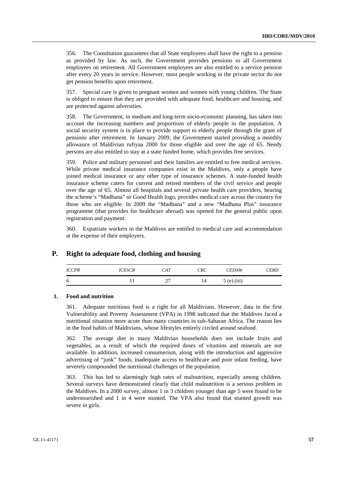356. The Constitution guarantees that all State employees shall have the right to a pension as provided by law. As such, the Government provides pensions to all Government employees on retirement. All Government employees are also entitled to a service pension after every 20 years in service. However, most people working in the private sector do not get pension benefits upon retirement.

357. Special care is given to pregnant women and women with young children. The State is obliged to ensure that they are provided with adequate food, healthcare and housing, and are protected against adversities.

358. The Government, in medium and long-term socio-economic planning, has taken into account the increasing numbers and proportions of elderly people in the population. A social security system is in place to provide support to elderly people through the grant of pensions after retirement. In January 2009, the Government started providing a monthly allowance of Maldivian rufiyaa 2000 for those eligible and over the age of 65. Needy persons are also entitled to stay at a state funded home, which provides free services.

359. Police and military personnel and their families are entitled to free medical services. While private medical insurance companies exist in the Maldives, only a people have joined medical insurance or any other type of insurance schemes. A state-funded health insurance scheme caters for current and retired members of the civil service and people over the age of 65. Almost all hospitals and several private health care providers, bearing the scheme's "Madhana" or Good Health logo, provides medical care across the country for those who are eligible. In 2009 the "Madhana" and a new "Madhana Plus" insurance programme (that provides for healthcare abroad) was opened for the general public upon registration and payment.

360. Expatriate workers in the Maldives are entitled to medical care and accommodation at the expense of their employers.

## **P. Right to adequate food, clothing and housing**

| <b>ICCPR</b> | <i>ICESCR</i> | CAT | <b>CRC</b> | <b>CEDAW</b>  | <b>CERD</b> |
|--------------|---------------|-----|------------|---------------|-------------|
| -6           |               | -   | 14         | $5$ (e) (iii) |             |

#### **1. Food and nutrition**

361. Adequate nutritious food is a right for all Maldivians. However, data in the first Vulnerability and Poverty Assessment (VPA) in 1998 indicated that the Maldives faced a nutritional situation more acute than many countries in sub-Saharan Africa. The reason lies in the food habits of Maldivians, whose lifestyles entirely circled around seafood.

362. The average diet in many Maldivian households does not include fruits and vegetables, as a result of which the required doses of vitamins and minerals are not available. In addition, increased consumerism, along with the introduction and aggressive advertising of "junk" foods, inadequate access to healthcare and poor infant feeding, have severely compounded the nutritional challenges of the population.

363. This has led to alarmingly high rates of malnutrition, especially among children. Several surveys have demonstrated clearly that child malnutrition is a serious problem in the Maldives. In a 2000 survey, almost 1 in 3 children younger than age 5 were found to be undernourished and 1 in 4 were stunted. The VPA also found that stunted growth was severe in girls.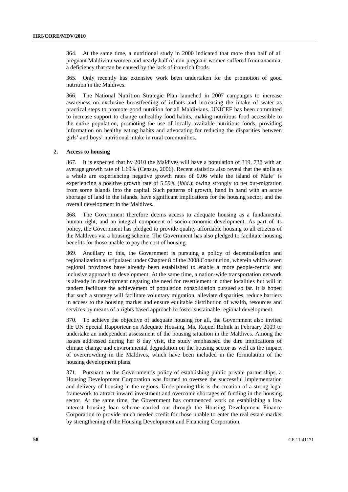364. At the same time, a nutritional study in 2000 indicated that more than half of all pregnant Maldivian women and nearly half of non-pregnant women suffered from anaemia, a deficiency that can be caused by the lack of iron-rich foods.

365. Only recently has extensive work been undertaken for the promotion of good nutrition in the Maldives.

366. The National Nutrition Strategic Plan launched in 2007 campaigns to increase awareness on exclusive breastfeeding of infants and increasing the intake of water as practical steps to promote good nutrition for all Maldivians. UNICEF has been committed to increase support to change unhealthy food habits, making nutritious food accessible to the entire population, promoting the use of locally available nutritious foods, providing information on healthy eating habits and advocating for reducing the disparities between girls' and boys' nutritional intake in rural communities.

#### **2. Access to housing**

367. It is expected that by 2010 the Maldives will have a population of 319, 738 with an average growth rate of 1.69% (Census, 2006). Recent statistics also reveal that the atolls as a whole are experiencing negative growth rates of 0.06 while the island of Male' is experiencing a positive growth rate of 5.59% (*ibid*.); owing strongly to net out-migration from some islands into the capital. Such patterns of growth, hand in hand with an acute shortage of land in the islands, have significant implications for the housing sector, and the overall development in the Maldives.

368. The Government therefore deems access to adequate housing as a fundamental human right, and an integral component of socio-economic development. As part of its policy, the Government has pledged to provide quality affordable housing to all citizens of the Maldives via a housing scheme. The Government has also pledged to facilitate housing benefits for those unable to pay the cost of housing.

369. Ancillary to this, the Government is pursuing a policy of decentralisation and regionalization as stipulated under Chapter 8 of the 2008 Constitution, wherein which seven regional provinces have already been established to enable a more people-centric and inclusive approach to development. At the same time, a nation-wide transportation network is already in development negating the need for resettlement in other localities but will in tandem facilitate the achievement of population consolidation pursued so far. It is hoped that such a strategy will facilitate voluntary migration, alleviate disparities, reduce barriers in access to the housing market and ensure equitable distribution of wealth, resources and services by means of a rights based approach to foster sustainable regional development.

370. To achieve the objective of adequate housing for all, the Government also invited the UN Special Rapporteur on Adequate Housing, Ms. Raquel Rolnik in February 2009 to undertake an independent assessment of the housing situation in the Maldives. Among the issues addressed during her 8 day visit, the study emphasised the dire implications of climate change and environmental degradation on the housing sector as well as the impact of overcrowding in the Maldives, which have been included in the formulation of the housing development plans.

371. Pursuant to the Government's policy of establishing public private partnerships, a Housing Development Corporation was formed to oversee the successful implementation and delivery of housing in the regions. Underpinning this is the creation of a strong legal framework to attract inward investment and overcome shortages of funding in the housing sector. At the same time, the Government has commenced work on establishing a low interest housing loan scheme carried out through the Housing Development Finance Corporation to provide much needed credit for those unable to enter the real estate market by strengthening of the Housing Development and Financing Corporation.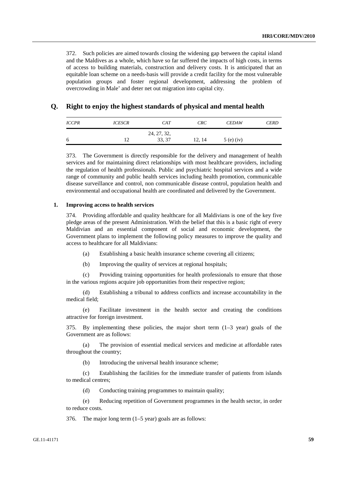372. Such policies are aimed towards closing the widening gap between the capital island and the Maldives as a whole, which have so far suffered the impacts of high costs, in terms of access to building materials, construction and delivery costs. It is anticipated that an equitable loan scheme on a needs-basis will provide a credit facility for the most vulnerable population groups and foster regional development, addressing the problem of overcrowding in Male' and deter net out migration into capital city.

## **Q. Right to enjoy the highest standards of physical and mental health**

| <i>ICCPR</i> | <b>ICESCR</b> | CAT         | <b>CRC</b> | <b>CEDAW</b> | <b>CERD</b> |
|--------------|---------------|-------------|------------|--------------|-------------|
|              |               | 24, 27, 32, |            |              |             |
| 6            |               | 33, 37      | 12, 14     | $5(e)$ (iv)  |             |

373. The Government is directly responsible for the delivery and management of health services and for maintaining direct relationships with most healthcare providers, including the regulation of health professionals. Public and psychiatric hospital services and a wide range of community and public health services including health promotion, communicable disease surveillance and control, non communicable disease control, population health and environmental and occupational health are coordinated and delivered by the Government.

#### **1. Improving access to health services**

374. Providing affordable and quality healthcare for all Maldivians is one of the key five pledge areas of the present Administration. With the belief that this is a basic right of every Maldivian and an essential component of social and economic development, the Government plans to implement the following policy measures to improve the quality and access to healthcare for all Maldivians:

- (a) Establishing a basic health insurance scheme covering all citizens;
- (b) Improving the quality of services at regional hospitals;

 (c) Providing training opportunities for health professionals to ensure that those in the various regions acquire job opportunities from their respective region;

 (d) Establishing a tribunal to address conflicts and increase accountability in the medical field;

 (e) Facilitate investment in the health sector and creating the conditions attractive for foreign investment.

375. By implementing these policies, the major short term (1–3 year) goals of the Government are as follows:

 (a) The provision of essential medical services and medicine at affordable rates throughout the country;

(b) Introducing the universal health insurance scheme;

 (c) Establishing the facilities for the immediate transfer of patients from islands to medical centres;

(d) Conducting training programmes to maintain quality;

 (e) Reducing repetition of Government programmes in the health sector, in order to reduce costs.

376. The major long term (1–5 year) goals are as follows: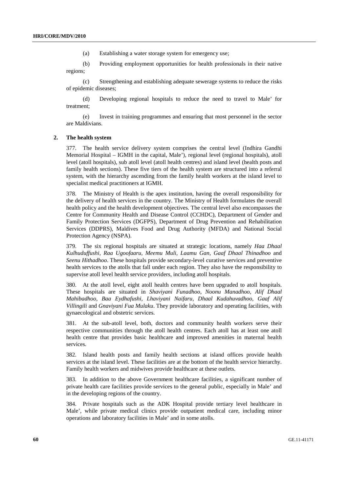(a) Establishing a water storage system for emergency use;

 (b) Providing employment opportunities for health professionals in their native regions;

 (c) Strengthening and establishing adequate sewerage systems to reduce the risks of epidemic diseases;

 (d) Developing regional hospitals to reduce the need to travel to Male' for treatment;

 (e) Invest in training programmes and ensuring that most personnel in the sector are Maldivians.

#### **2. The health system**

377. The health service delivery system comprises the central level (Indhira Gandhi Memorial Hospital – IGMH in the capital, Male'), regional level (regional hospitals), atoll level (atoll hospitals), sub atoll level (atoll health centres) and island level (health posts and family health sections). These five tiers of the health system are structured into a referral system, with the hierarchy ascending from the family health workers at the island level to specialist medical practitioners at IGMH.

378. The Ministry of Health is the apex institution, having the overall responsibility for the delivery of health services in the country. The Ministry of Health formulates the overall health policy and the health development objectives. The central level also encompasses the Centre for Community Health and Disease Control (CCHDC), Department of Gender and Family Protection Services (DGFPS), Department of Drug Prevention and Rehabilitation Services (DDPRS), Maldives Food and Drug Authority (MFDA) and National Social Protection Agency (NSPA).

379. The six regional hospitals are situated at strategic locations, namely *Haa Dhaal Kulhuduffushi, Raa Ugoofaaru, Meemu Muli, Laamu Gan, Gaaf Dhaal Thinadhoo* and *Seenu Hithadhoo*. These hospitals provide secondary-level curative services and preventive health services to the atolls that fall under each region. They also have the responsibility to supervise atoll level health service providers, including atoll hospitals.

380. At the atoll level, eight atoll health centres have been upgraded to atoll hospitals. These hospitals are situated in *Shaviyani Funadhoo, Noonu Manadhoo, Alif Dhaal Mahibadhoo, Baa Eydhafushi, Lhaviyani Naifaru, Dhaal Kudahuvadhoo, Gaaf Alif Villingili* and *Gnaviyani Fua Mulaku*. They provide laboratory and operating facilities, with gynaecological and obstetric services.

381. At the sub-atoll level, both, doctors and community health workers serve their respective communities through the atoll health centres. Each atoll has at least one atoll health centre that provides basic healthcare and improved amenities in maternal health services.

382. Island health posts and family health sections at island offices provide health services at the island level. These facilities are at the bottom of the health service hierarchy. Family health workers and midwives provide healthcare at these outlets.

383. In addition to the above Government healthcare facilities, a significant number of private health care facilities provide services to the general public, especially in Male' and in the developing regions of the country.

384. Private hospitals such as the ADK Hospital provide tertiary level healthcare in Male', while private medical clinics provide outpatient medical care, including minor operations and laboratory facilities in Male' and in some atolls.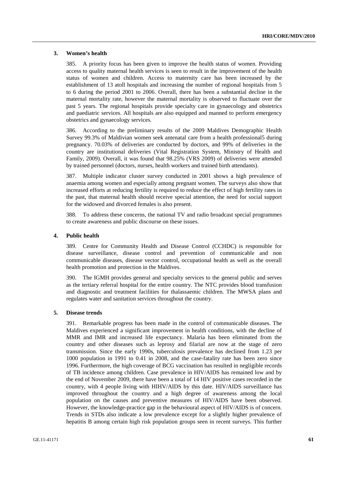#### **3. Women's health**

385. A priority focus has been given to improve the health status of women. Providing access to quality maternal health services is seen to result in the improvement of the health status of women and children. Access to maternity care has been increased by the establishment of 13 atoll hospitals and increasing the number of regional hospitals from 5 to 6 during the period 2001 to 2006. Overall, there has been a substantial decline in the maternal mortality rate, however the maternal mortality is observed to fluctuate over the past 5 years. The regional hospitals provide specialty care in gynaecology and obstetrics and paediatric services. All hospitals are also equipped and manned to perform emergency obstetrics and gynaecology services.

386. According to the preliminary results of the 2009 Maldives Demographic Health Survey 99.3% of Maldivian women seek antenatal care from a health professional5 during pregnancy. 70.03% of deliveries are conducted by doctors, and 99% of deliveries in the country are institutional deliveries (Vital Registration System, Ministry of Health and Family, 2009). Overall, it was found that 98.25% (VRS 2009) of deliveries were attended by trained personnel (doctors, nurses, health workers and trained birth attendants).

387. Multiple indicator cluster survey conducted in 2001 shows a high prevalence of anaemia among women and especially among pregnant women. The surveys also show that increased efforts at reducing fertility is required to reduce the effect of high fertility rates in the past, that maternal health should receive special attention, the need for social support for the widowed and divorced females is also present.

388. To address these concerns, the national TV and radio broadcast special programmes to create awareness and public discourse on these issues.

#### **4. Public health**

389. Centre for Community Health and Disease Control (CCHDC) is responsible for disease surveillance, disease control and prevention of communicable and non communicable diseases, disease vector control, occupational health as well as the overall health promotion and protection in the Maldives.

390. The IGMH provides general and specialty services to the general public and serves as the tertiary referral hospital for the entire country. The NTC provides blood transfusion and diagnostic and treatment facilities for thalassaemic children. The MWSA plans and regulates water and sanitation services throughout the country.

#### **5. Disease trends**

391. Remarkable progress has been made in the control of communicable diseases. The Maldives experienced a significant improvement in health conditions, with the decline of MMR and IMR and increased life expectancy. Malaria has been eliminated from the country and other diseases such as leprosy and filarial are now at the stage of zero transmission. Since the early 1990s, tuberculosis prevalence has declined from 1.23 per 1000 population in 1991 to 0.41 in 2008, and the case-fatality rate has been zero since 1996. Furthermore, the high coverage of BCG vaccination has resulted in negligible records of TB incidence among children. Case prevalence in HIV/AIDS has remained low and by the end of November 2009, there have been a total of 14 HIV positive cases recorded in the country, with 4 people living with HIHV/AIDS by this date. HIV/AIDS surveillance has improved throughout the country and a high degree of awareness among the local population on the causes and preventive measures of HIV/AIDS have been observed. However, the knowledge-practice gap in the behavioural aspect of HIV/AIDS is of concern. Trends in STDs also indicate a low prevalence except for a slightly higher prevalence of hepatitis B among certain high risk population groups seen in recent surveys. This further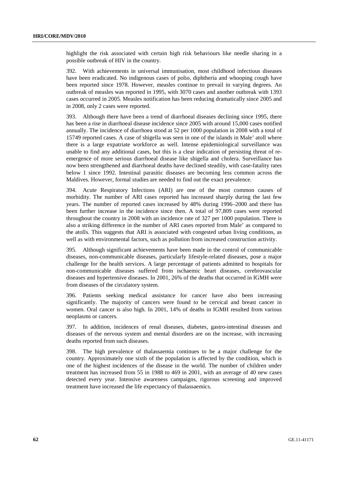highlight the risk associated with certain high risk behaviours like needle sharing in a possible outbreak of HIV in the country.

392. With achievements in universal immunisation, most childhood infectious diseases have been eradicated. No indigenous cases of polio, diphtheria and whooping cough have been reported since 1978. However, measles continue to prevail in varying degrees. An outbreak of measles was reported in 1995, with 3070 cases and another outbreak with 1393 cases occurred in 2005. Measles notification has been reducing dramatically since 2005 and in 2008, only 2 cases were reported.

393. Although there have been a trend of diarrhoeal diseases declining since 1995, there has been a rise in diarrhoeal disease incidence since 2005 with around 15,000 cases notified annually. The incidence of diarrhoea stood at 52 per 1000 population in 2008 with a total of 15749 reported cases. A case of shigella was seen in one of the islands in Male' atoll where there is a large expatriate workforce as well. Intense epidemiological surveillance was unable to find any additional cases, but this is a clear indication of persisting threat of reemergence of more serious diarrhoeal disease like shigella and cholera. Surveillance has now been strengthened and diarrhoeal deaths have declined steadily, with case-fatality rates below 1 since 1992. Intestinal parasitic diseases are becoming less common across the Maldives. However, formal studies are needed to find out the exact prevalence.

394. Acute Respiratory Infections (ARI) are one of the most common causes of morbidity. The number of ARI cases reported has increased sharply during the last few years. The number of reported cases increased by 48% during 1996–2000 and there has been further increase in the incidence since then. A total of 97,809 cases were reported throughout the country in 2008 with an incidence rate of 327 per 1000 population. There is also a striking difference in the number of ARI cases reported from Male' as compared to the atolls. This suggests that ARI is associated with congested urban living conditions, as well as with environmental factors, such as pollution from increased construction activity.

395. Although significant achievements have been made in the control of communicable diseases, non-communicable diseases, particularly lifestyle-related diseases, pose a major challenge for the health services. A large percentage of patients admitted to hospitals for non-communicable diseases suffered from ischaemic heart diseases, cerebrovascular diseases and hypertensive diseases. In 2001, 26% of the deaths that occurred in IGMH were from diseases of the circulatory system.

396. Patients seeking medical assistance for cancer have also been increasing significantly. The majority of cancers were found to be cervical and breast cancer in women. Oral cancer is also high. In 2001, 14% of deaths in IGMH resulted from various neoplasms or cancers.

397. In addition, incidences of renal diseases, diabetes, gastro-intestinal diseases and diseases of the nervous system and mental disorders are on the increase, with increasing deaths reported from such diseases.

398. The high prevalence of thalassaemia continues to be a major challenge for the country. Approximately one sixth of the population is affected by the condition, which is one of the highest incidences of the disease in the world. The number of children under treatment has increased from 55 in 1988 to 469 in 2001, with an average of 40 new cases detected every year. Intensive awareness campaigns, rigorous screening and improved treatment have increased the life expectancy of thalassaemics.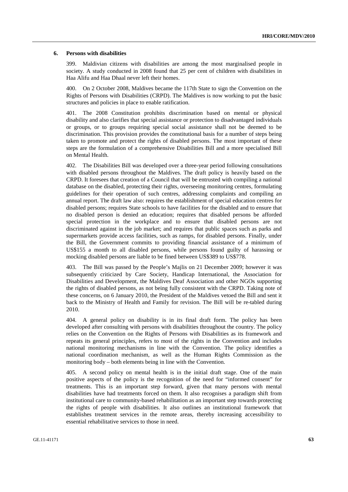#### **6. Persons with disabilities**

399. Maldivian citizens with disabilities are among the most marginalised people in society. A study conducted in 2008 found that 25 per cent of children with disabilities in Haa Alifu and Haa Dhaal never left their homes.

400. On 2 October 2008, Maldives became the 117th State to sign the Convention on the Rights of Persons with Disabilities (CRPD). The Maldives is now working to put the basic structures and policies in place to enable ratification.

401. The 2008 Constitution prohibits discrimination based on mental or physical disability and also clarifies that special assistance or protection to disadvantaged individuals or groups, or to groups requiring special social assistance shall not be deemed to be discrimination. This provision provides the constitutional basis for a number of steps being taken to promote and protect the rights of disabled persons. The most important of these steps are the formulation of a comprehensive Disabilities Bill and a more specialised Bill on Mental Health.

402. The Disabilities Bill was developed over a three-year period following consultations with disabled persons throughout the Maldives. The draft policy is heavily based on the CRPD. It foresees that creation of a Council that will be entrusted with compiling a national database on the disabled, protecting their rights, overseeing monitoring centres, formulating guidelines for their operation of such centres, addressing complaints and compiling an annual report. The draft law also: requires the establishment of special education centres for disabled persons; requires State schools to have facilities for the disabled and to ensure that no disabled person is denied an education; requires that disabled persons be afforded special protection in the workplace and to ensure that disabled persons are not discriminated against in the job market; and requires that public spaces such as parks and supermarkets provide access facilities, such as ramps, for disabled persons. Finally, under the Bill, the Government commits to providing financial assistance of a minimum of US\$155 a month to all disabled persons, while persons found guilty of harassing or mocking disabled persons are liable to be fined between US\$389 to US\$778.

403. The Bill was passed by the People's Majlis on 21 December 2009; however it was subsequently criticized by Care Society, Handicap International, the Association for Disabilities and Development, the Maldives Deaf Association and other NGOs supporting the rights of disabled persons, as not being fully consistent with the CRPD. Taking note of these concerns, on 6 January 2010, the President of the Maldives vetoed the Bill and sent it back to the Ministry of Health and Family for revision. The Bill will be re-tabled during 2010.

404. A general policy on disability is in its final draft form. The policy has been developed after consulting with persons with disabilities throughout the country. The policy relies on the Convention on the Rights of Persons with Disabilities as its framework and repeats its general principles, refers to most of the rights in the Convention and includes national monitoring mechanisms in line with the Convention. The policy identifies a national coordination mechanism, as well as the Human Rights Commission as the monitoring body – both elements being in line with the Convention.

405. A second policy on mental health is in the initial draft stage. One of the main positive aspects of the policy is the recognition of the need for "informed consent" for treatments. This is an important step forward, given that many persons with mental disabilities have had treatments forced on them. It also recognises a paradigm shift from institutional care to community-based rehabilitation as an important step towards protecting the rights of people with disabilities. It also outlines an institutional framework that establishes treatment services in the remote areas, thereby increasing accessibility to essential rehabilitative services to those in need.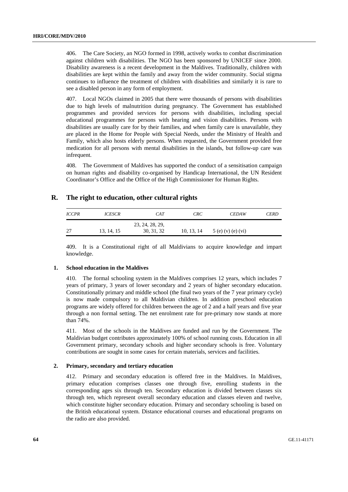406. The Care Society, an NGO formed in 1998, actively works to combat discrimination against children with disabilities. The NGO has been sponsored by UNICEF since 2000. Disability awareness is a recent development in the Maldives. Traditionally, children with disabilities are kept within the family and away from the wider community. Social stigma continues to influence the treatment of children with disabilities and similarly it is rare to see a disabled person in any form of employment.

407. Local NGOs claimed in 2005 that there were thousands of persons with disabilities due to high levels of malnutrition during pregnancy. The Government has established programmes and provided services for persons with disabilities, including special educational programmes for persons with hearing and vision disabilities. Persons with disabilities are usually care for by their families, and when family care is unavailable, they are placed in the Home for People with Special Needs, under the Ministry of Health and Family, which also hosts elderly persons. When requested, the Government provided free medication for all persons with mental disabilities in the islands, but follow-up care was infrequent.

408. The Government of Maldives has supported the conduct of a sensitisation campaign on human rights and disability co-organised by Handicap International, the UN Resident Coordinator's Office and the Office of the High Commissioner for Human Rights.

## **R. The right to education, other cultural rights**

| <b>ICCPR</b> | <i>ICESCR</i> | CAT             | CRC        | <b>CEDAW</b>        | <b>CERD</b> |
|--------------|---------------|-----------------|------------|---------------------|-------------|
|              |               | 23, 24, 28, 29, |            |                     |             |
| 27           | 13, 14, 15    | 30, 31, 32      | 10, 13, 14 | $5(e)$ (v) (e) (vi) |             |

409. It is a Constitutional right of all Maldivians to acquire knowledge and impart knowledge.

## **1. School education in the Maldives**

410. The formal schooling system in the Maldives comprises 12 years, which includes 7 years of primary, 3 years of lower secondary and 2 years of higher secondary education. Constitutionally primary and middle school (the final two years of the 7 year primary cycle) is now made compulsory to all Maldivian children. In addition preschool education programs are widely offered for children between the age of 2 and a half years and five year through a non formal setting. The net enrolment rate for pre-primary now stands at more than 74%.

411. Most of the schools in the Maldives are funded and run by the Government. The Maldivian budget contributes approximately 100% of school running costs. Education in all Government primary, secondary schools and higher secondary schools is free. Voluntary contributions are sought in some cases for certain materials, services and facilities.

#### **2. Primary, secondary and tertiary education**

412. Primary and secondary education is offered free in the Maldives. In Maldives, primary education comprises classes one through five, enrolling students in the corresponding ages six through ten. Secondary education is divided between classes six through ten, which represent overall secondary education and classes eleven and twelve, which constitute higher secondary education. Primary and secondary schooling is based on the British educational system. Distance educational courses and educational programs on the radio are also provided.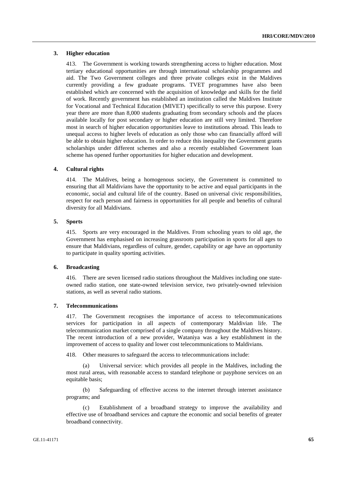#### **3. Higher education**

413. The Government is working towards strengthening access to higher education. Most tertiary educational opportunities are through international scholarship programmes and aid. The Two Government colleges and three private colleges exist in the Maldives currently providing a few graduate programs. TVET programmes have also been established which are concerned with the acquisition of knowledge and skills for the field of work. Recently government has established an institution called the Maldives Institute for Vocational and Technical Education (MIVET) specifically to serve this purpose. Every year there are more than 8,000 students graduating from secondary schools and the places available locally for post secondary or higher education are still very limited. Therefore most in search of higher education opportunities leave to institutions abroad. This leads to unequal access to higher levels of education as only those who can financially afford will be able to obtain higher education. In order to reduce this inequality the Government grants scholarships under different schemes and also a recently established Government loan scheme has opened further opportunities for higher education and development.

#### **4. Cultural rights**

414. The Maldives, being a homogenous society, the Government is committed to ensuring that all Maldivians have the opportunity to be active and equal participants in the economic, social and cultural life of the country. Based on universal civic responsibilities, respect for each person and fairness in opportunities for all people and benefits of cultural diversity for all Maldivians.

#### **5. Sports**

415. Sports are very encouraged in the Maldives. From schooling years to old age, the Government has emphasised on increasing grassroots participation in sports for all ages to ensure that Maldivians, regardless of culture, gender, capability or age have an opportunity to participate in quality sporting activities.

#### **6. Broadcasting**

416. There are seven licensed radio stations throughout the Maldives including one stateowned radio station, one state-owned television service, two privately-owned television stations, as well as several radio stations.

#### **7. Telecommunications**

417. The Government recognises the importance of access to telecommunications services for participation in all aspects of contemporary Maldivian life. The telecommunication market comprised of a single company throughout the Maldives history. The recent introduction of a new provider, Wataniya was a key establishment in the improvement of access to quality and lower cost telecommunications to Maldivians.

418. Other measures to safeguard the access to telecommunications include:

Universal service: which provides all people in the Maldives, including the most rural areas, with reasonable access to standard telephone or payphone services on an equitable basis;

 (b) Safeguarding of effective access to the internet through internet assistance programs; and

 (c) Establishment of a broadband strategy to improve the availability and effective use of broadband services and capture the economic and social benefits of greater broadband connectivity.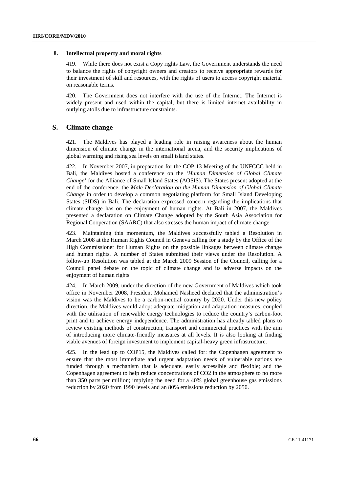#### **8. Intellectual property and moral rights**

419. While there does not exist a Copy rights Law, the Government understands the need to balance the rights of copyright owners and creators to receive appropriate rewards for their investment of skill and resources, with the rights of users to access copyright material on reasonable terms.

420. The Government does not interfere with the use of the Internet. The Internet is widely present and used within the capital, but there is limited internet availability in outlying atolls due to infrastructure constraints.

## **S. Climate change**

421. The Maldives has played a leading role in raising awareness about the human dimension of climate change in the international arena, and the security implications of global warming and rising sea levels on small island states.

422. In November 2007, in preparation for the COP 13 Meeting of the UNFCCC held in Bali, the Maldives hosted a conference on the '*Human Dimension of Global Climate Change*' for the Alliance of Small Island States (AOSIS). The States present adopted at the end of the conference, the *Male Declaration on the Human Dimension of Global Climate Change* in order to develop a common negotiating platform for Small Island Developing States (SIDS) in Bali. The declaration expressed concern regarding the implications that climate change has on the enjoyment of human rights. At Bali in 2007, the Maldives presented a declaration on Climate Change adopted by the South Asia Association for Regional Cooperation (SAARC) that also stresses the human impact of climate change.

423. Maintaining this momentum, the Maldives successfully tabled a Resolution in March 2008 at the Human Rights Council in Geneva calling for a study by the Office of the High Commissioner for Human Rights on the possible linkages between climate change and human rights. A number of States submitted their views under the Resolution. A follow-up Resolution was tabled at the March 2009 Session of the Council, calling for a Council panel debate on the topic of climate change and its adverse impacts on the enjoyment of human rights.

424. In March 2009, under the direction of the new Government of Maldives which took office in November 2008, President Mohamed Nasheed declared that the administration's vision was the Maldives to be a carbon-neutral country by 2020. Under this new policy direction, the Maldives would adopt adequate mitigation and adaptation measures, coupled with the utilisation of renewable energy technologies to reduce the country's carbon-foot print and to achieve energy independence. The administration has already tabled plans to review existing methods of construction, transport and commercial practices with the aim of introducing more climate-friendly measures at all levels. It is also looking at finding viable avenues of foreign investment to implement capital-heavy green infrastructure.

425. In the lead up to COP15, the Maldives called for: the Copenhagen agreement to ensure that the most immediate and urgent adaptation needs of vulnerable nations are funded through a mechanism that is adequate, easily accessible and flexible; and the Copenhagen agreement to help reduce concentrations of CO2 in the atmosphere to no more than 350 parts per million; implying the need for a 40% global greenhouse gas emissions reduction by 2020 from 1990 levels and an 80% emissions reduction by 2050.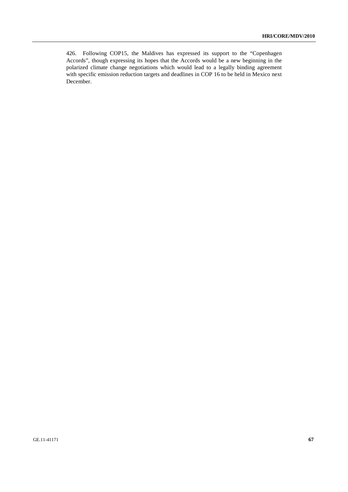426. Following COP15, the Maldives has expressed its support to the "Copenhagen Accords", though expressing its hopes that the Accords would be a new beginning in the polarized climate change negotiations which would lead to a legally binding agreement with specific emission reduction targets and deadlines in COP 16 to be held in Mexico next December.